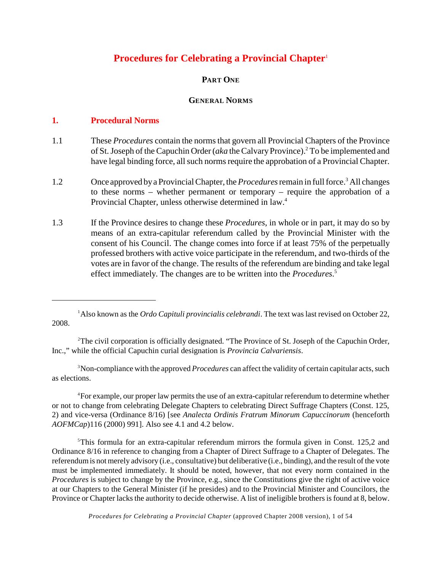# **Procedures for Celebrating a Provincial Chapter**<sup>1</sup>

## **PART ONE**

## **GENERAL NORMS**

### **1. Procedural Norms**

- 1.1 These *Procedures* contain the norms that govern all Provincial Chapters of the Province of St. Joseph of the Capuchin Order (*aka* the Calvary Province).<sup>2</sup> To be implemented and have legal binding force, all such norms require the approbation of a Provincial Chapter.
- 1.2 Once approved by a Provincial Chapter, the *Procedures* remain in full force.<sup>3</sup> All changes to these norms – whether permanent or temporary – require the approbation of a Provincial Chapter, unless otherwise determined in law.<sup>4</sup>
- 1.3 If the Province desires to change these *Procedures*, in whole or in part, it may do so by means of an extra-capitular referendum called by the Provincial Minister with the consent of his Council. The change comes into force if at least 75% of the perpetually professed brothers with active voice participate in the referendum, and two-thirds of the votes are in favor of the change. The results of the referendum are binding and take legal effect immediately. The changes are to be written into the *Procedures*. 5

Non-compliance with the approved *Procedures* can affect the validity of certain capitular acts, such 3 as elections.

For example, our proper law permits the use of an extra-capitular referendum to determine whether <sup>4</sup> or not to change from celebrating Delegate Chapters to celebrating Direct Suffrage Chapters (Const. 125, 2) and vice-versa (Ordinance 8/16) [see *Analecta Ordinis Fratrum Minorum Capuccinorum* (henceforth *AOFMCap*)116 (2000) 991]. Also see 4.1 and 4.2 below.

 $5$ This formula for an extra-capitular referendum mirrors the formula given in Const. 125,2 and Ordinance 8/16 in reference to changing from a Chapter of Direct Suffrage to a Chapter of Delegates. The referendum is not merely advisory (i.e., consultative) but deliberative (i.e., binding), and the result of the vote must be implemented immediately. It should be noted, however, that not every norm contained in the *Procedures* is subject to change by the Province, e.g., since the Constitutions give the right of active voice at our Chapters to the General Minister (if he presides) and to the Provincial Minister and Councilors, the Province or Chapter lacks the authority to decide otherwise. A list of ineligible brothers is found at 8, below.

*Procedures for Celebrating a Provincial Chapter* (approved Chapter 2008 version), 1 of 54

<sup>&</sup>lt;sup>1</sup>Also known as the *Ordo Capituli provincialis celebrandi*. The text was last revised on October 22, 2008.

 $2$ The civil corporation is officially designated. "The Province of St. Joseph of the Capuchin Order, Inc.," while the official Capuchin curial designation is *Provincia Calvariensis*.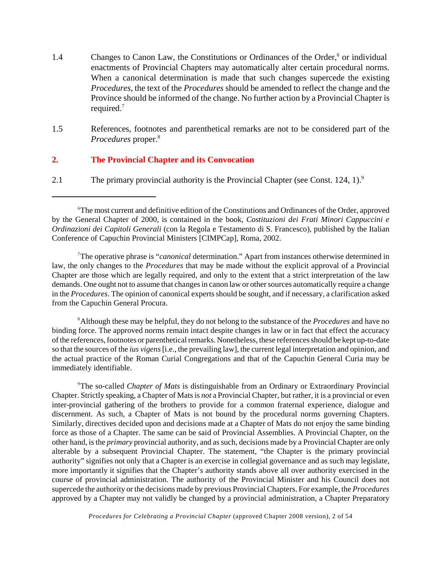- 1.4 Changes to Canon Law, the Constitutions or Ordinances of the Order,<sup>6</sup> or individual enactments of Provincial Chapters may automatically alter certain procedural norms. When a canonical determination is made that such changes supercede the existing *Procedures*, the text of the *Procedures* should be amended to reflect the change and the Province should be informed of the change. No further action by a Provincial Chapter is required.<sup>7</sup>
- 1.5 References, footnotes and parenthetical remarks are not to be considered part of the *Procedures* proper. 8

## **2. The Provincial Chapter and its Convocation**

2.1 The primary provincial authority is the Provincial Chapter (see Const. 124, 1).<sup>9</sup>

The operative phrase is "*canonical* determination." Apart from instances otherwise determined in <sup>7</sup> law, the only changes to the *Procedures* that may be made without the explicit approval of a Provincial Chapter are those which are legally required, and only to the extent that a strict interpretation of the law demands. One ought not to assume that changes in canon law or other sources automatically require a change in the *Procedures*. The opinion of canonical experts should be sought, and if necessary, a clarification asked from the Capuchin General Procura.

Although these may be helpful, they do not belong to the substance of the *Procedures* and have no <sup>8</sup> binding force. The approved norms remain intact despite changes in law or in fact that effect the accuracy of the references, footnotes or parenthetical remarks. Nonetheless, these references should be kept up-to-date so that the sources of the *ius vigens* [i.e., the prevailing law], the current legal interpretation and opinion, and the actual practice of the Roman Curial Congregations and that of the Capuchin General Curia may be immediately identifiable.

<sup>9</sup>The so-called *Chapter of Mats* is distinguishable from an Ordinary or Extraordinary Provincial Chapter. Strictly speaking, a Chapter of Matsis *not* a Provincial Chapter, but rather, it is a provincial or even inter-provincial gathering of the brothers to provide for a common fraternal experience, dialogue and discernment. As such, a Chapter of Mats is not bound by the procedural norms governing Chapters. Similarly, directives decided upon and decisions made at a Chapter of Mats do not enjoy the same binding force as those of a Chapter. The same can be said of Provincial Assemblies. A Provincial Chapter, on the other hand, is the *primary* provincial authority, and as such, decisions made by a Provincial Chapter are only alterable by a subsequent Provincial Chapter. The statement, "the Chapter is the primary provincial authority" signifies not only that a Chapter is an exercise in collegial governance and as such may legislate, more importantly it signifies that the Chapter's authority stands above all over authority exercised in the course of provincial administration. The authority of the Provincial Minister and his Council does not supercede the authority or the decisions made by previous Provincial Chapters. For example, the *Procedures* approved by a Chapter may not validly be changed by a provincial administration, a Chapter Preparatory

*Procedures for Celebrating a Provincial Chapter* (approved Chapter 2008 version), 2 of 54

<sup>&</sup>lt;sup>6</sup>The most current and definitive edition of the Constitutions and Ordinances of the Order, approved by the General Chapter of 2000, is contained in the book, *Costituzioni dei Frati Minori Cappuccini e Ordinazioni dei Capitoli Generali* (con la Regola e Testamento di S. Francesco), published by the Italian Conference of Capuchin Provincial Ministers [CIMPCap], Roma, 2002.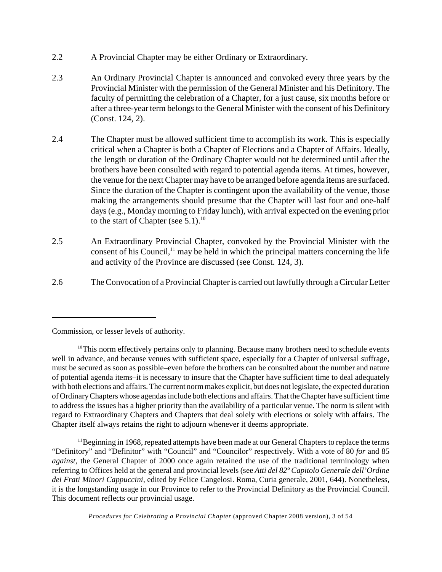- 2.2 A Provincial Chapter may be either Ordinary or Extraordinary.
- 2.3 An Ordinary Provincial Chapter is announced and convoked every three years by the Provincial Minister with the permission of the General Minister and his Definitory. The faculty of permitting the celebration of a Chapter, for a just cause, six months before or after a three-year term belongs to the General Minister with the consent of his Definitory (Const. 124, 2).
- 2.4 The Chapter must be allowed sufficient time to accomplish its work. This is especially critical when a Chapter is both a Chapter of Elections and a Chapter of Affairs. Ideally, the length or duration of the Ordinary Chapter would not be determined until after the brothers have been consulted with regard to potential agenda items. At times, however, the venue for the next Chapter may have to be arranged before agenda items are surfaced. Since the duration of the Chapter is contingent upon the availability of the venue, those making the arrangements should presume that the Chapter will last four and one-half days (e.g., Monday morning to Friday lunch), with arrival expected on the evening prior to the start of Chapter (see  $5.1$ ).<sup>10</sup>
- 2.5 An Extraordinary Provincial Chapter, convoked by the Provincial Minister with the consent of his Council, $\frac{11}{11}$  may be held in which the principal matters concerning the life and activity of the Province are discussed (see Const. 124, 3).
- 2.6 The Convocation of a Provincial Chapter is carried out lawfully through a Circular Letter

 $11$  Beginning in 1968, repeated attempts have been made at our General Chapters to replace the terms "Definitory" and "Definitor" with "Council" and "Councilor" respectively. With a vote of 80 *for* and 85 *against*, the General Chapter of 2000 once again retained the use of the traditional terminology when referring to Offices held at the general and provincial levels (see *Atti del 82º Capitolo Generale dell'Ordine dei Frati Minori Cappuccini*, edited by Felice Cangelosi. Roma, Curia generale, 2001, 644). Nonetheless, it is the longstanding usage in our Province to refer to the Provincial Definitory as the Provincial Council. This document reflects our provincial usage.

*Procedures for Celebrating a Provincial Chapter* (approved Chapter 2008 version), 3 of 54

Commission, or lesser levels of authority.

<sup>&</sup>lt;sup>10</sup>This norm effectively pertains only to planning. Because many brothers need to schedule events well in advance, and because venues with sufficient space, especially for a Chapter of universal suffrage, must be secured as soon as possible–even before the brothers can be consulted about the number and nature of potential agenda items–it is necessary to insure that the Chapter have sufficient time to deal adequately with both elections and affairs. The current normmakes explicit, but does not legislate, the expected duration of Ordinary Chapters whose agendas include both elections and affairs. That theChapter have sufficient time to address the issues has a higher priority than the availability of a particular venue. The norm is silent with regard to Extraordinary Chapters and Chapters that deal solely with elections or solely with affairs. The Chapter itself always retains the right to adjourn whenever it deems appropriate.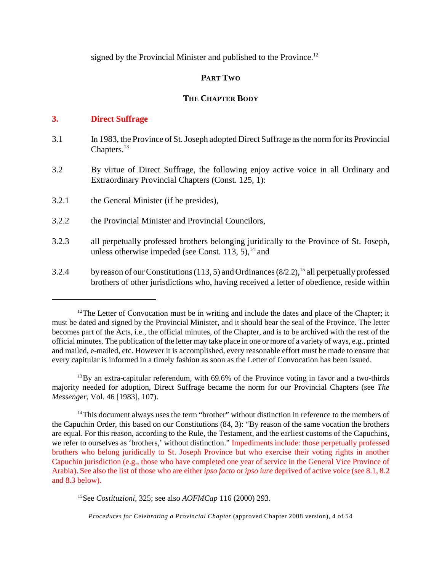signed by the Provincial Minister and published to the Province.<sup>12</sup>

# **PART TWO**

## **THE CHAPTER BODY**

## **3. Direct Suffrage**

- 3.1 In 1983, the Province of St. Joseph adopted Direct Suffrage as the norm for its Provincial Chapters.<sup>13</sup>
- 3.2 By virtue of Direct Suffrage, the following enjoy active voice in all Ordinary and Extraordinary Provincial Chapters (Const. 125, 1):
- 3.2.1 the General Minister (if he presides),
- 3.2.2 the Provincial Minister and Provincial Councilors,
- 3.2.3 all perpetually professed brothers belonging juridically to the Province of St. Joseph, unless otherwise impeded (see Const.  $113$ ,  $5$ ),  $14$  and
- 3.2.4 by reason of our Constitutions (113, 5) and Ordinances (8/2.2), <sup>15</sup> all perpetually professed brothers of other jurisdictions who, having received a letter of obedience, reside within

<sup>15</sup>See *Costituzioni*, 325; see also *AOFMCap* 116 (2000) 293.

*Procedures for Celebrating a Provincial Chapter* (approved Chapter 2008 version), 4 of 54

 $12$ The Letter of Convocation must be in writing and include the dates and place of the Chapter; it must be dated and signed by the Provincial Minister, and it should bear the seal of the Province. The letter becomes part of the Acts, i.e., the official minutes, of the Chapter, and is to be archived with the rest of the official minutes. The publication of the letter may take place in one or more of a variety of ways, e.g., printed and mailed, e-mailed, etc. However it is accomplished, every reasonable effort must be made to ensure that every capitular is informed in a timely fashion as soon as the Letter of Convocation has been issued.

 $^{13}$ By an extra-capitular referendum, with 69.6% of the Province voting in favor and a two-thirds majority needed for adoption, Direct Suffrage became the norm for our Provincial Chapters (see *The Messenger*, Vol. 46 [1983], 107).

 $14$ This document always uses the term "brother" without distinction in reference to the members of the Capuchin Order, this based on our Constitutions (84, 3): "By reason of the same vocation the brothers are equal. For this reason, according to the Rule, the Testament, and the earliest customs of the Capuchins, we refer to ourselves as 'brothers,' without distinction." Impediments include: those perpetually professed brothers who belong juridically to St. Joseph Province but who exercise their voting rights in another Capuchin jurisdiction (e.g., those who have completed one year of service in the General Vice Province of Arabia). See also the list of those who are either *ipso facto* or *ipso iure* deprived of active voice (see 8.1, 8.2 and 8.3 below).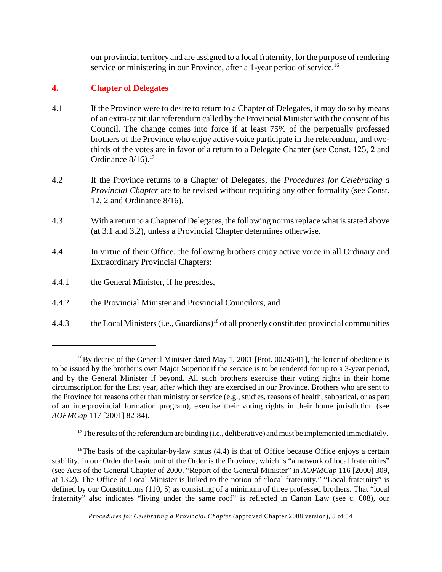our provincial territory and are assigned to a local fraternity, for the purpose of rendering service or ministering in our Province, after a 1-year period of service.<sup>16</sup>

## **4. Chapter of Delegates**

- 4.1 If the Province were to desire to return to a Chapter of Delegates, it may do so by means of an extra-capitular referendum called by the Provincial Minister with the consent of his Council. The change comes into force if at least 75% of the perpetually professed brothers of the Province who enjoy active voice participate in the referendum, and twothirds of the votes are in favor of a return to a Delegate Chapter (see Const. 125, 2 and Ordinance  $8/16$ .<sup>17</sup>
- 4.2 If the Province returns to a Chapter of Delegates, the *Procedures for Celebrating a Provincial Chapter* are to be revised without requiring any other formality (see Const. 12, 2 and Ordinance 8/16).
- 4.3 With a return to a Chapter of Delegates, the following norms replace what is stated above (at 3.1 and 3.2), unless a Provincial Chapter determines otherwise.
- 4.4 In virtue of their Office, the following brothers enjoy active voice in all Ordinary and Extraordinary Provincial Chapters:
- 4.4.1 the General Minister, if he presides,
- 4.4.2 the Provincial Minister and Provincial Councilors, and
- 4.4.3 the Local Ministers (i.e., Guardians)<sup>18</sup> of all properly constituted provincial communities

 $17$ The results of the referendum are binding (i.e., deliberative) and must be implemented immediately.

<sup>18</sup>The basis of the capitular-by-law status  $(4.4)$  is that of Office because Office enjoys a certain stability. In our Order the basic unit of the Order is the Province, which is "a network of local fraternities" (see Acts of the General Chapter of 2000, "Report of the General Minister" in *AOFMCap* 116 [2000] 309, at 13.2). The Office of Local Minister is linked to the notion of "local fraternity." "Local fraternity" is defined by our Constitutions (110, 5) as consisting of a minimum of three professed brothers. That "local fraternity" also indicates "living under the same roof" is reflected in Canon Law (see c. 608), our

 $^{16}$ By decree of the General Minister dated May 1, 2001 [Prot. 00246/01], the letter of obedience is to be issued by the brother's own Major Superior if the service is to be rendered for up to a 3-year period, and by the General Minister if beyond. All such brothers exercise their voting rights in their home circumscription for the first year, after which they are exercised in our Province. Brothers who are sent to the Province for reasons other than ministry or service (e.g., studies, reasons of health, sabbatical, or as part of an interprovincial formation program), exercise their voting rights in their home jurisdiction (see *AOFMCap* 117 [2001] 82-84).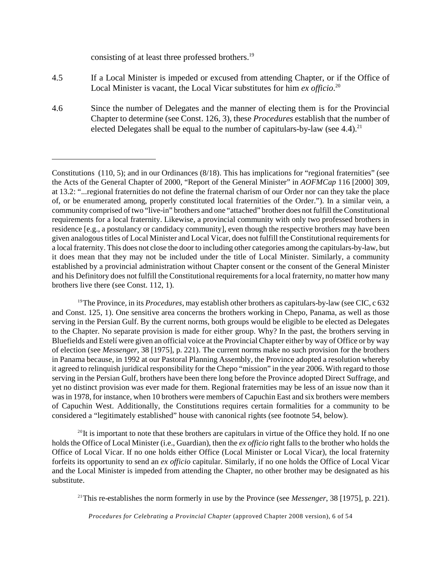consisting of at least three professed brothers.<sup>19</sup>

- 4.5 If a Local Minister is impeded or excused from attending Chapter, or if the Office of Local Minister is vacant, the Local Vicar substitutes for him *ex officio*. 20
- 4.6 Since the number of Delegates and the manner of electing them is for the Provincial Chapter to determine (see Const. 126, 3), these *Procedures* establish that the number of elected Delegates shall be equal to the number of capitulars-by-law (see 4.4).<sup>21</sup>

<sup>19</sup>The Province, in its *Procedures*, may establish other brothers as capitulars-by-law (see CIC,  $\text{c } 632$ ) and Const. 125, 1). One sensitive area concerns the brothers working in Chepo, Panama, as well as those serving in the Persian Gulf. By the current norms, both groups would be eligible to be elected as Delegates to the Chapter. No separate provision is made for either group. Why? In the past, the brothers serving in Bluefields and Estelí were given an official voice at the Provincial Chapter either by way of Office or by way of election (see *Messenger*, 38 [1975], p. 221). The current norms make no such provision for the brothers in Panama because, in 1992 at our Pastoral Planning Assembly, the Province adopted a resolution whereby it agreed to relinquish juridical responsibility for the Chepo "mission" in the year 2006. With regard to those serving in the Persian Gulf, brothers have been there long before the Province adopted Direct Suffrage, and yet no distinct provision was ever made for them. Regional fraternities may be less of an issue now than it was in 1978, for instance, when 10 brothers were members of Capuchin East and six brothers were members of Capuchin West. Additionally, the Constitutions requires certain formalities for a community to be considered a "legitimately established" house with canonical rights (see footnote 54, below).

 $^{20}$ It is important to note that these brothers are capitulars in virtue of the Office they hold. If no one holds the Office of Local Minister (i.e., Guardian), then the *ex officio* right falls to the brother who holds the Office of Local Vicar. If no one holds either Office (Local Minister or Local Vicar), the local fraternity forfeits its opportunity to send an *ex officio* capitular. Similarly, if no one holds the Office of Local Vicar and the Local Minister is impeded from attending the Chapter, no other brother may be designated as his substitute.

<sup>21</sup>This re-establishes the norm formerly in use by the Province (see *Messenger*, 38 [1975], p. 221).

*Procedures for Celebrating a Provincial Chapter* (approved Chapter 2008 version), 6 of 54

Constitutions (110, 5); and in our Ordinances (8/18). This has implications for "regional fraternities" (see the Acts of the General Chapter of 2000, "Report of the General Minister" in *AOFMCap* 116 [2000] 309, at 13.2: "...regional fraternities do not define the fraternal charism of our Order nor can they take the place of, or be enumerated among, properly constituted local fraternities of the Order."). In a similar vein, a community comprised of two "live-in" brothers and one "attached" brother does not fulfill the Constitutional requirements for a local fraternity. Likewise, a provincial community with only two professed brothers in residence [e.g., a postulancy or candidacy community], even though the respective brothers may have been given analogous titles of Local Minister and Local Vicar, does not fulfill the Constitutional requirements for a local fraternity. This does not close the door to including other categories among the capitulars-by-law, but it does mean that they may not be included under the title of Local Minister. Similarly, a community established by a provincial administration without Chapter consent or the consent of the General Minister and his Definitory does not fulfill the Constitutional requirements for a local fraternity, no matter how many brothers live there (see Const. 112, 1).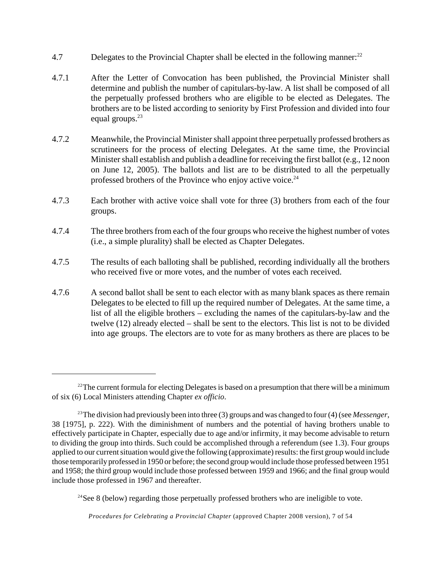- 4.7 Delegates to the Provincial Chapter shall be elected in the following manner:<sup>22</sup>
- 4.7.1 After the Letter of Convocation has been published, the Provincial Minister shall determine and publish the number of capitulars-by-law. A list shall be composed of all the perpetually professed brothers who are eligible to be elected as Delegates. The brothers are to be listed according to seniority by First Profession and divided into four equal groups. $^{23}$
- 4.7.2 Meanwhile, the Provincial Minister shall appoint three perpetually professed brothers as scrutineers for the process of electing Delegates. At the same time, the Provincial Minister shall establish and publish a deadline for receiving the first ballot (e.g., 12 noon on June 12, 2005). The ballots and list are to be distributed to all the perpetually professed brothers of the Province who enjoy active voice.<sup>24</sup>
- 4.7.3 Each brother with active voice shall vote for three (3) brothers from each of the four groups.
- 4.7.4 The three brothers from each of the four groups who receive the highest number of votes (i.e., a simple plurality) shall be elected as Chapter Delegates.
- 4.7.5 The results of each balloting shall be published, recording individually all the brothers who received five or more votes, and the number of votes each received.
- 4.7.6 A second ballot shall be sent to each elector with as many blank spaces as there remain Delegates to be elected to fill up the required number of Delegates. At the same time, a list of all the eligible brothers – excluding the names of the capitulars-by-law and the twelve (12) already elected – shall be sent to the electors. This list is not to be divided into age groups. The electors are to vote for as many brothers as there are places to be

<sup>24</sup>See 8 (below) regarding those perpetually professed brothers who are ineligible to vote.

*Procedures for Celebrating a Provincial Chapter* (approved Chapter 2008 version), 7 of 54

 $22$ <sup>22</sup>The current formula for electing Delegates is based on a presumption that there will be a minimum of six (6) Local Ministers attending Chapter *ex officio*.

<sup>&</sup>lt;sup>23</sup>The division had previously been into three (3) groups and was changed to four (4) (see *Messenger*, 38 [1975], p. 222). With the diminishment of numbers and the potential of having brothers unable to effectively participate in Chapter, especially due to age and/or infirmity, it may become advisable to return to dividing the group into thirds. Such could be accomplished through a referendum (see 1.3). Four groups applied to our current situation would give the following (approximate) results: the first group would include those temporarily professed in 1950 or before; the second group would include those professed between 1951 and 1958; the third group would include those professed between 1959 and 1966; and the final group would include those professed in 1967 and thereafter.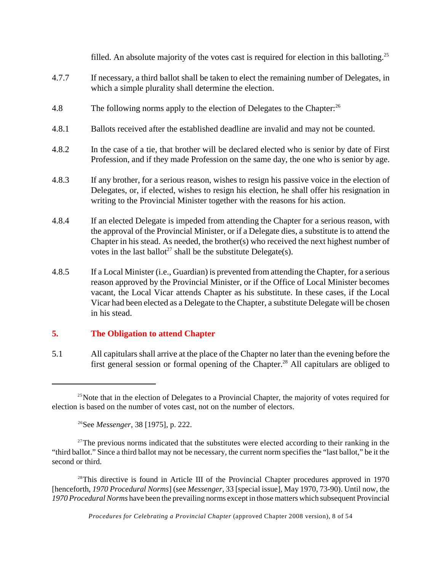filled. An absolute majority of the votes cast is required for election in this balloting.<sup>25</sup>

- 4.7.7 If necessary, a third ballot shall be taken to elect the remaining number of Delegates, in which a simple plurality shall determine the election.
- 4.8 The following norms apply to the election of Delegates to the Chapter:<sup>26</sup>
- 4.8.1 Ballots received after the established deadline are invalid and may not be counted.
- 4.8.2 In the case of a tie, that brother will be declared elected who is senior by date of First Profession, and if they made Profession on the same day, the one who is senior by age.
- 4.8.3 If any brother, for a serious reason, wishes to resign his passive voice in the election of Delegates, or, if elected, wishes to resign his election, he shall offer his resignation in writing to the Provincial Minister together with the reasons for his action.
- 4.8.4 If an elected Delegate is impeded from attending the Chapter for a serious reason, with the approval of the Provincial Minister, or if a Delegate dies, a substitute is to attend the Chapter in his stead. As needed, the brother(s) who received the next highest number of votes in the last ballot<sup>27</sup> shall be the substitute Delegate(s).
- 4.8.5 If a Local Minister (i.e., Guardian) is prevented from attending the Chapter, for a serious reason approved by the Provincial Minister, or if the Office of Local Minister becomes vacant, the Local Vicar attends Chapter as his substitute. In these cases, if the Local Vicar had been elected as a Delegate to the Chapter, a substitute Delegate will be chosen in his stead.

## **5. The Obligation to attend Chapter**

5.1 All capitulars shall arrive at the place of the Chapter no later than the evening before the first general session or formal opening of the Chapter.<sup>28</sup> All capitulars are obliged to

<sup>28</sup>This directive is found in Article III of the Provincial Chapter procedures approved in 1970 [henceforth, *1970 Procedural Norms*] (see *Messenger*, 33 [special issue], May 1970, 73-90). Until now, the 1970 Procedural Norms have been the prevailing norms except in those matters which subsequent Provincial

*Procedures for Celebrating a Provincial Chapter* (approved Chapter 2008 version), 8 of 54

 $25$ Note that in the election of Delegates to a Provincial Chapter, the majority of votes required for election is based on the number of votes cast, not on the number of electors.

<sup>&</sup>lt;sup>26</sup>See *Messenger*, 38 [1975], p. 222.

 $27$ The previous norms indicated that the substitutes were elected according to their ranking in the "third ballot." Since a third ballot may not be necessary, the current norm specifies the "last ballot," be it the second or third.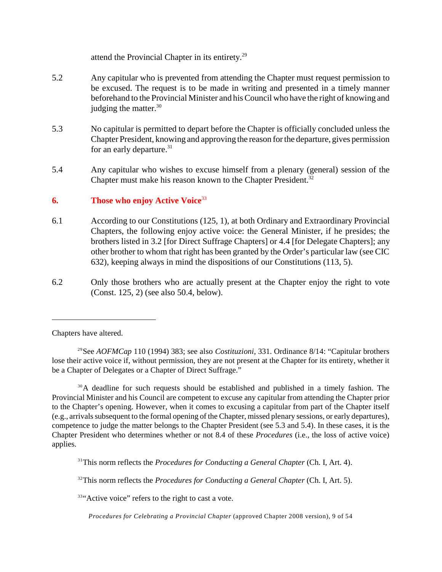attend the Provincial Chapter in its entirety.<sup>29</sup>

- 5.2 Any capitular who is prevented from attending the Chapter must request permission to be excused. The request is to be made in writing and presented in a timely manner beforehand to the Provincial Minister and his Council who have the right of knowing and judging the matter. $30$
- 5.3 No capitular is permitted to depart before the Chapter is officially concluded unless the Chapter President, knowing and approving the reason for the departure, gives permission for an early departure.<sup>31</sup>
- 5.4 Any capitular who wishes to excuse himself from a plenary (general) session of the Chapter must make his reason known to the Chapter President.<sup>32</sup>

## **6. Those who enjoy Active Voice**<sup>33</sup>

- 6.1 According to our Constitutions (125, 1), at both Ordinary and Extraordinary Provincial Chapters, the following enjoy active voice: the General Minister, if he presides; the brothers listed in 3.2 [for Direct Suffrage Chapters] or 4.4 [for Delegate Chapters]; any other brother to whom that right has been granted by the Order's particular law (see CIC 632), keeping always in mind the dispositions of our Constitutions (113, 5).
- 6.2 Only those brothers who are actually present at the Chapter enjoy the right to vote (Const. 125, 2) (see also 50.4, below).

Chapters have altered.

<sup>29</sup>See *AOFMCap* 110 (1994) 383; see also *Costituzioni*, 331. Ordinance 8/14: "Capitular brothers lose their active voice if, without permission, they are not present at the Chapter for its entirety, whether it be a Chapter of Delegates or a Chapter of Direct Suffrage."

 $30A$  deadline for such requests should be established and published in a timely fashion. The Provincial Minister and his Council are competent to excuse any capitular from attending the Chapter prior to the Chapter's opening. However, when it comes to excusing a capitular from part of the Chapter itself (e.g., arrivals subsequent to the formal opening of the Chapter, missed plenary sessions, or early departures), competence to judge the matter belongs to the Chapter President (see 5.3 and 5.4). In these cases, it is the Chapter President who determines whether or not 8.4 of these *Procedures* (i.e., the loss of active voice) applies.

<sup>31</sup>This norm reflects the *Procedures for Conducting a General Chapter* (Ch. I, Art. 4).

<sup>32</sup>This norm reflects the *Procedures for Conducting a General Chapter* (Ch. I, Art. 5).

 $33$ "Active voice" refers to the right to cast a vote.

*Procedures for Celebrating a Provincial Chapter* (approved Chapter 2008 version), 9 of 54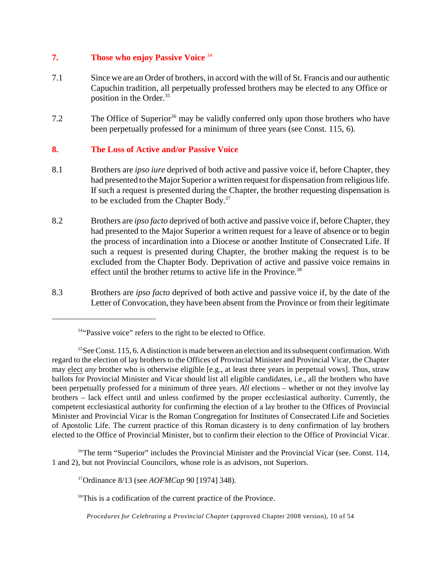## **7. Those who enjoy Passive Voice** <sup>34</sup>

- 7.1 Since we are an Order of brothers, in accord with the will of St. Francis and our authentic Capuchin tradition, all perpetually professed brothers may be elected to any Office or position in the Order.<sup>35</sup>
- 7.2 The Office of Superior<sup>36</sup> may be validly conferred only upon those brothers who have been perpetually professed for a minimum of three years (see Const. 115, 6).

## **8. The Loss of Active and/or Passive Voice**

- 8.1 Brothers are *ipso iure* deprived of both active and passive voice if, before Chapter, they had presented to the Major Superior a written request for dispensation from religious life. If such a request is presented during the Chapter, the brother requesting dispensation is to be excluded from the Chapter Body.<sup>37</sup>
- 8.2 Brothers are *ipso facto* deprived of both active and passive voice if, before Chapter, they had presented to the Major Superior a written request for a leave of absence or to begin the process of incardination into a Diocese or another Institute of Consecrated Life. If such a request is presented during Chapter, the brother making the request is to be excluded from the Chapter Body. Deprivation of active and passive voice remains in effect until the brother returns to active life in the Province.<sup>38</sup>
- 8.3 Brothers are *ipso facto* deprived of both active and passive voice if, by the date of the Letter of Convocation, they have been absent from the Province or from their legitimate

 $36$ The term "Superior" includes the Provincial Minister and the Provincial Vicar (see. Const. 114, 1 and 2), but not Provincial Councilors, whose role is as advisors, not Superiors.

Ordinance 8/13 (see *AOFMCap* 90 [1974] 348). 37

<sup>38</sup>This is a codification of the current practice of the Province.

<sup>&</sup>lt;sup>34</sup>"Passive voice" refers to the right to be elected to Office.

<sup>&</sup>lt;sup>35</sup> See Const. 115, 6. A distinction is made between an election and its subsequent confirmation. With regard to the election of lay brothers to the Offices of Provincial Minister and Provincial Vicar, the Chapter may elect *any* brother who is otherwise eligible [e.g., at least three years in perpetual vows]. Thus, straw ballots for Provincial Minister and Vicar should list all eligible candidates, i.e., all the brothers who have been perpetually professed for a minimum of three years. *All* elections – whether or not they involve lay brothers – lack effect until and unless confirmed by the proper ecclesiastical authority. Currently, the competent ecclesiastical authority for confirming the election of a lay brother to the Offices of Provincial Minister and Provincial Vicar is the Roman Congregation for Institutes of Consecrated Life and Societies of Apostolic Life. The current practice of this Roman dicastery is to deny confirmation of lay brothers elected to the Office of Provincial Minister, but to confirm their election to the Office of Provincial Vicar.

*Procedures for Celebrating a Provincial Chapter* (approved Chapter 2008 version), 10 of 54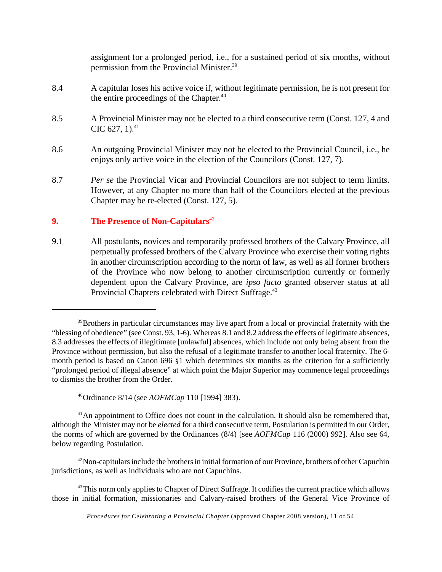assignment for a prolonged period, i.e., for a sustained period of six months, without permission from the Provincial Minister.<sup>39</sup>

- 8.4 A capitular loses his active voice if, without legitimate permission, he is not present for the entire proceedings of the Chapter.<sup>40</sup>
- 8.5 A Provincial Minister may not be elected to a third consecutive term (Const. 127, 4 and CIC 627, 1). $41$
- 8.6 An outgoing Provincial Minister may not be elected to the Provincial Council, i.e., he enjoys only active voice in the election of the Councilors (Const. 127, 7).
- 8.7 *Per se* the Provincial Vicar and Provincial Councilors are not subject to term limits. However, at any Chapter no more than half of the Councilors elected at the previous Chapter may be re-elected (Const. 127, 5).

## **9.** The Presence of Non-Capitulars<sup>42</sup>

9.1 All postulants, novices and temporarily professed brothers of the Calvary Province, all perpetually professed brothers of the Calvary Province who exercise their voting rights in another circumscription according to the norm of law, as well as all former brothers of the Province who now belong to another circumscription currently or formerly dependent upon the Calvary Province, are *ipso facto* granted observer status at all Provincial Chapters celebrated with Direct Suffrage.<sup>43</sup>

<sup>40</sup>Ordinance 8/14 (see *AOFMCap* 110 [1994] 383).

 $41$ An appointment to Office does not count in the calculation. It should also be remembered that, although the Minister may not be *elected* for a third consecutive term, Postulation is permitted in our Order, the norms of which are governed by the Ordinances (8/4) [see *AOFMCap* 116 (2000) 992]. Also see 64, below regarding Postulation.

 $42$  Non-capitulars include the brothers in initial formation of our Province, brothers of other Capuchin jurisdictions, as well as individuals who are not Capuchins.

<sup>43</sup>This norm only applies to Chapter of Direct Suffrage. It codifies the current practice which allows those in initial formation, missionaries and Calvary-raised brothers of the General Vice Province of

<sup>&</sup>lt;sup>39</sup>Brothers in particular circumstances may live apart from a local or provincial fraternity with the "blessing of obedience" (see Const. 93, 1-6). Whereas 8.1 and 8.2 address the effects of legitimate absences, 8.3 addresses the effects of illegitimate [unlawful] absences, which include not only being absent from the Province without permission, but also the refusal of a legitimate transfer to another local fraternity. The 6 month period is based on Canon 696 §1 which determines six months as the criterion for a sufficiently "prolonged period of illegal absence" at which point the Major Superior may commence legal proceedings to dismiss the brother from the Order.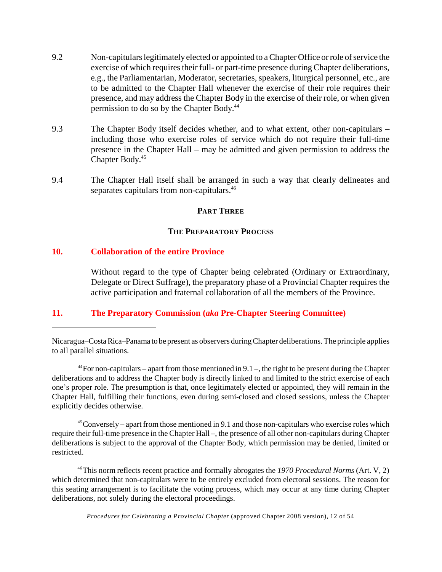- 9.2 Non-capitulars legitimately elected or appointed to a Chapter Office or role of service the exercise of which requires their full- or part-time presence during Chapter deliberations, e.g., the Parliamentarian, Moderator, secretaries, speakers, liturgical personnel, etc., are to be admitted to the Chapter Hall whenever the exercise of their role requires their presence, and may address the Chapter Body in the exercise of their role, or when given permission to do so by the Chapter Body.<sup>44</sup>
- 9.3 The Chapter Body itself decides whether, and to what extent, other non-capitulars including those who exercise roles of service which do not require their full-time presence in the Chapter Hall – may be admitted and given permission to address the Chapter Body. 45
- 9.4 The Chapter Hall itself shall be arranged in such a way that clearly delineates and separates capitulars from non-capitulars.<sup>46</sup>

## **PART THREE**

#### **THE PREPARATORY PROCESS**

#### **10. Collaboration of the entire Province**

Without regard to the type of Chapter being celebrated (Ordinary or Extraordinary, Delegate or Direct Suffrage), the preparatory phase of a Provincial Chapter requires the active participation and fraternal collaboration of all the members of the Province.

### **11. The Preparatory Commission (***aka* **Pre-Chapter Steering Committee)**

 $44$  For non-capitulars – apart from those mentioned in 9.1 –, the right to be present during the Chapter deliberations and to address the Chapter body is directly linked to and limited to the strict exercise of each one's proper role. The presumption is that, once legitimately elected or appointed, they will remain in the Chapter Hall, fulfilling their functions, even during semi-closed and closed sessions, unless the Chapter explicitly decides otherwise.

 $45$ Conversely – apart from those mentioned in 9.1 and those non-capitulars who exercise roles which require their full-time presence in the Chapter Hall –, the presence of all other non-capitulars during Chapter deliberations is subject to the approval of the Chapter Body, which permission may be denied, limited or restricted.

<sup>46</sup>This norm reflects recent practice and formally abrogates the *1970 Procedural Norms* (Art. V, 2) which determined that non-capitulars were to be entirely excluded from electoral sessions. The reason for this seating arrangement is to facilitate the voting process, which may occur at any time during Chapter deliberations, not solely during the electoral proceedings.

*Procedures for Celebrating a Provincial Chapter* (approved Chapter 2008 version), 12 of 54

Nicaragua–Costa Rica–Panama to be present as observers during Chapter deliberations. The principle applies to all parallel situations.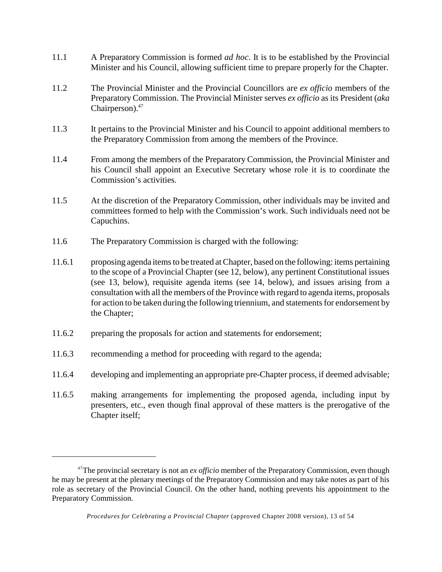- 11.1 A Preparatory Commission is formed *ad hoc*. It is to be established by the Provincial Minister and his Council, allowing sufficient time to prepare properly for the Chapter.
- 11.2 The Provincial Minister and the Provincial Councillors are *ex officio* members of the Preparatory Commission. The Provincial Minister serves *ex officio* as its President (*aka* Chairperson). $47$
- 11.3 It pertains to the Provincial Minister and his Council to appoint additional members to the Preparatory Commission from among the members of the Province.
- 11.4 From among the members of the Preparatory Commission, the Provincial Minister and his Council shall appoint an Executive Secretary whose role it is to coordinate the Commission's activities.
- 11.5 At the discretion of the Preparatory Commission, other individuals may be invited and committees formed to help with the Commission's work. Such individuals need not be Capuchins.
- 11.6 The Preparatory Commission is charged with the following:
- 11.6.1 proposing agenda items to be treated at Chapter, based on the following: items pertaining to the scope of a Provincial Chapter (see 12, below), any pertinent Constitutional issues (see 13, below), requisite agenda items (see 14, below), and issues arising from a consultation with all the members of the Province with regard to agenda items, proposals for action to be taken during the following triennium, and statements for endorsement by the Chapter;
- 11.6.2 preparing the proposals for action and statements for endorsement;
- 11.6.3 recommending a method for proceeding with regard to the agenda;
- 11.6.4 developing and implementing an appropriate pre-Chapter process, if deemed advisable;
- 11.6.5 making arrangements for implementing the proposed agenda, including input by presenters, etc., even though final approval of these matters is the prerogative of the Chapter itself;

<sup>&</sup>lt;sup>47</sup>The provincial secretary is not an *ex officio* member of the Preparatory Commission, even though he may be present at the plenary meetings of the Preparatory Commission and may take notes as part of his role as secretary of the Provincial Council. On the other hand, nothing prevents his appointment to the Preparatory Commission.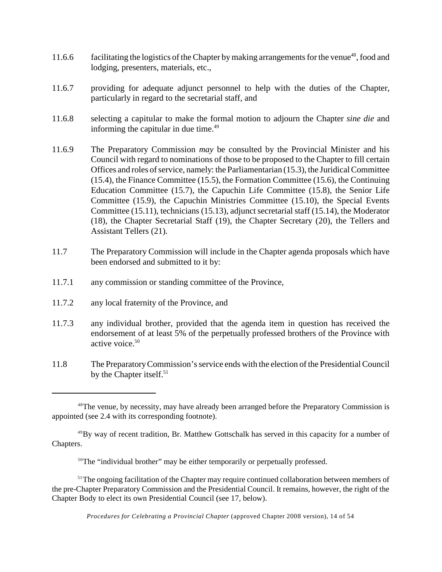- 11.6.6 facilitating the logistics of the Chapter by making arrangements for the venue  $48$ , food and lodging, presenters, materials, etc.,
- 11.6.7 providing for adequate adjunct personnel to help with the duties of the Chapter, particularly in regard to the secretarial staff, and
- 11.6.8 selecting a capitular to make the formal motion to adjourn the Chapter *sine die* and informing the capitular in due time.<sup>49</sup>
- 11.6.9 The Preparatory Commission *may* be consulted by the Provincial Minister and his Council with regard to nominations of those to be proposed to the Chapter to fill certain Offices and roles of service, namely: the Parliamentarian (15.3), the Juridical Committee (15.4), the Finance Committee (15.5), the Formation Committee (15.6), the Continuing Education Committee (15.7), the Capuchin Life Committee (15.8), the Senior Life Committee (15.9), the Capuchin Ministries Committee (15.10), the Special Events Committee (15.11), technicians (15.13), adjunct secretarial staff (15.14), the Moderator (18), the Chapter Secretarial Staff (19), the Chapter Secretary (20), the Tellers and Assistant Tellers (21).
- 11.7 The Preparatory Commission will include in the Chapter agenda proposals which have been endorsed and submitted to it by:
- 11.7.1 any commission or standing committee of the Province,
- 11.7.2 any local fraternity of the Province, and
- 11.7.3 any individual brother, provided that the agenda item in question has received the endorsement of at least 5% of the perpetually professed brothers of the Province with active voice.<sup>50</sup>
- 11.8 The PreparatoryCommission's service ends with the election of the Presidential Council by the Chapter itself. $51$

 $48$ The venue, by necessity, may have already been arranged before the Preparatory Commission is appointed (see 2.4 with its corresponding footnote).

 $^{49}$ By way of recent tradition, Br. Matthew Gottschalk has served in this capacity for a number of Chapters.

 $50$ The "individual brother" may be either temporarily or perpetually professed.

<sup>&</sup>lt;sup>51</sup>The ongoing facilitation of the Chapter may require continued collaboration between members of the pre-Chapter Preparatory Commission and the Presidential Council. It remains, however, the right of the Chapter Body to elect its own Presidential Council (see 17, below).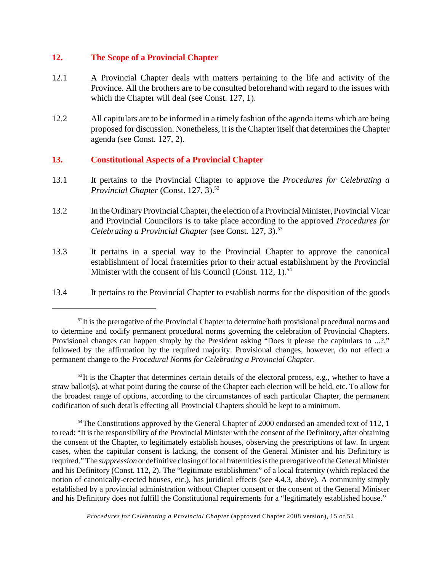## **12. The Scope of a Provincial Chapter**

- 12.1 A Provincial Chapter deals with matters pertaining to the life and activity of the Province. All the brothers are to be consulted beforehand with regard to the issues with which the Chapter will deal (see Const. 127, 1).
- 12.2 All capitulars are to be informed in a timely fashion of the agenda items which are being proposed for discussion. Nonetheless, it is the Chapter itself that determines the Chapter agenda (see Const. 127, 2).

## **13. Constitutional Aspects of a Provincial Chapter**

- 13.1 It pertains to the Provincial Chapter to approve the *Procedures for Celebrating a Provincial Chapter* (Const. 127, 3).<sup>52</sup>
- 13.2 In the Ordinary Provincial Chapter, the election of a Provincial Minister, Provincial Vicar and Provincial Councilors is to take place according to the approved *Procedures for Celebrating a Provincial Chapter* (see Const. 127, 3).<sup>53</sup>
- 13.3 It pertains in a special way to the Provincial Chapter to approve the canonical establishment of local fraternities prior to their actual establishment by the Provincial Minister with the consent of his Council (Const. 112, 1).<sup>54</sup>
- 13.4 It pertains to the Provincial Chapter to establish norms for the disposition of the goods

<sup>54</sup>The Constitutions approved by the General Chapter of 2000 endorsed an amended text of 112, 1 to read: "It is the responsibility of the Provincial Minister with the consent of the Definitory, after obtaining the consent of the Chapter, to legitimately establish houses, observing the prescriptions of law. In urgent cases, when the capitular consent is lacking, the consent of the General Minister and his Definitory is required." The *suppression* or definitive closing of local fraternities is the prerogative of the General Minister and his Definitory (Const. 112, 2). The "legitimate establishment" of a local fraternity (which replaced the notion of canonically-erected houses, etc.), has juridical effects (see 4.4.3, above). A community simply established by a provincial administration without Chapter consent or the consent of the General Minister and his Definitory does not fulfill the Constitutional requirements for a "legitimately established house."

 $52$ It is the prerogative of the Provincial Chapter to determine both provisional procedural norms and to determine and codify permanent procedural norms governing the celebration of Provincial Chapters. Provisional changes can happen simply by the President asking "Does it please the capitulars to ...?," followed by the affirmation by the required majority. Provisional changes, however, do not effect a permanent change to the *Procedural Norms for Celebrating a Provincial Chapter*.

 $53$ It is the Chapter that determines certain details of the electoral process, e.g., whether to have a straw ballot(s), at what point during the course of the Chapter each election will be held, etc. To allow for the broadest range of options, according to the circumstances of each particular Chapter, the permanent codification of such details effecting all Provincial Chapters should be kept to a minimum.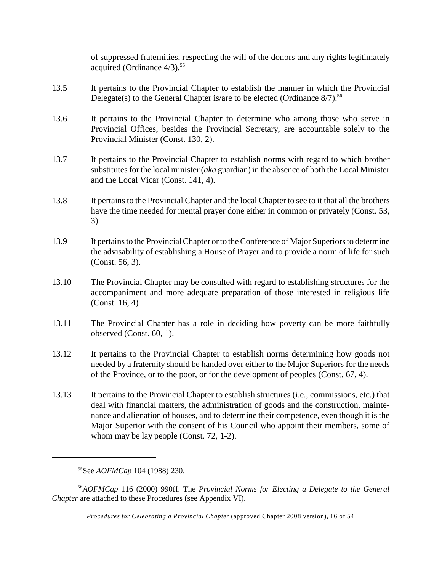of suppressed fraternities, respecting the will of the donors and any rights legitimately acquired (Ordinance  $4/3$ ).<sup>55</sup>

- 13.5 It pertains to the Provincial Chapter to establish the manner in which the Provincial Delegate(s) to the General Chapter is/are to be elected (Ordinance  $8/7$ ).<sup>56</sup>
- 13.6 It pertains to the Provincial Chapter to determine who among those who serve in Provincial Offices, besides the Provincial Secretary, are accountable solely to the Provincial Minister (Const. 130, 2).
- 13.7 It pertains to the Provincial Chapter to establish norms with regard to which brother substitutes for the local minister (*aka* guardian) in the absence of both the Local Minister and the Local Vicar (Const. 141, 4).
- 13.8 It pertains to the Provincial Chapter and the local Chapter to see to it that all the brothers have the time needed for mental prayer done either in common or privately (Const. 53, 3).
- 13.9 It pertains to the Provincial Chapter or to the Conference of Major Superiors to determine the advisability of establishing a House of Prayer and to provide a norm of life for such (Const. 56, 3).
- 13.10 The Provincial Chapter may be consulted with regard to establishing structures for the accompaniment and more adequate preparation of those interested in religious life (Const. 16, 4)
- 13.11 The Provincial Chapter has a role in deciding how poverty can be more faithfully observed (Const. 60, 1).
- 13.12 It pertains to the Provincial Chapter to establish norms determining how goods not needed by a fraternity should be handed over either to the Major Superiors for the needs of the Province, or to the poor, or for the development of peoples (Const. 67, 4).
- 13.13 It pertains to the Provincial Chapter to establish structures (i.e., commissions, etc.) that deal with financial matters, the administration of goods and the construction, maintenance and alienation of houses, and to determine their competence, even though it is the Major Superior with the consent of his Council who appoint their members, some of whom may be lay people (Const. 72, 1-2).

*AOFMCap* 116 (2000) 990ff. The *Provincial Norms for Electing a Delegate to the General* <sup>56</sup> *Chapter* are attached to these Procedures (see Appendix VI).

<sup>&</sup>lt;sup>55</sup>See *AOFMCap* 104 (1988) 230.

*Procedures for Celebrating a Provincial Chapter* (approved Chapter 2008 version), 16 of 54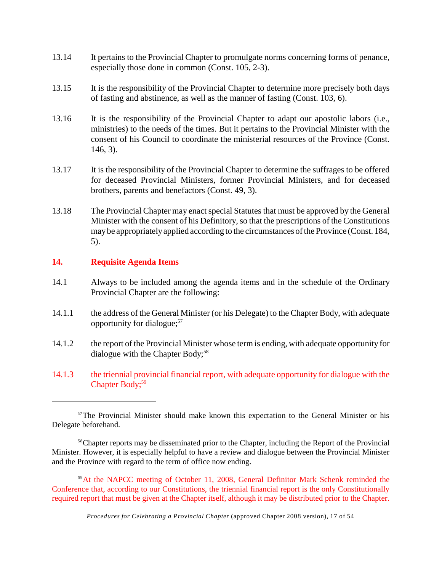- 13.14 It pertains to the Provincial Chapter to promulgate norms concerning forms of penance, especially those done in common (Const. 105, 2-3).
- 13.15 It is the responsibility of the Provincial Chapter to determine more precisely both days of fasting and abstinence, as well as the manner of fasting (Const. 103, 6).
- 13.16 It is the responsibility of the Provincial Chapter to adapt our apostolic labors (i.e., ministries) to the needs of the times. But it pertains to the Provincial Minister with the consent of his Council to coordinate the ministerial resources of the Province (Const. 146, 3).
- 13.17 It is the responsibility of the Provincial Chapter to determine the suffrages to be offered for deceased Provincial Ministers, former Provincial Ministers, and for deceased brothers, parents and benefactors (Const. 49, 3).
- 13.18 The Provincial Chapter may enact special Statutes that must be approved by the General Minister with the consent of his Definitory, so that the prescriptions of the Constitutions maybe appropriatelyapplied according to the circumstances of the Province (Const. 184, 5).

## **14. Requisite Agenda Items**

- 14.1 Always to be included among the agenda items and in the schedule of the Ordinary Provincial Chapter are the following:
- 14.1.1 the address of the General Minister (or his Delegate) to the Chapter Body, with adequate opportunity for dialogue;<sup>57</sup>
- 14.1.2 the report of the Provincial Minister whose term is ending, with adequate opportunity for dialogue with the Chapter Body; 58
- 14.1.3 the triennial provincial financial report, with adequate opportunity for dialogue with the Chapter Body; 59

 $57$ The Provincial Minister should make known this expectation to the General Minister or his Delegate beforehand.

 $58$ Chapter reports may be disseminated prior to the Chapter, including the Report of the Provincial Minister. However, it is especially helpful to have a review and dialogue between the Provincial Minister and the Province with regard to the term of office now ending.

<sup>59</sup>At the NAPCC meeting of October 11, 2008, General Definitor Mark Schenk reminded the Conference that, according to our Constitutions, the triennial financial report is the only Constitutionally required report that must be given at the Chapter itself, although it may be distributed prior to the Chapter.

*Procedures for Celebrating a Provincial Chapter* (approved Chapter 2008 version), 17 of 54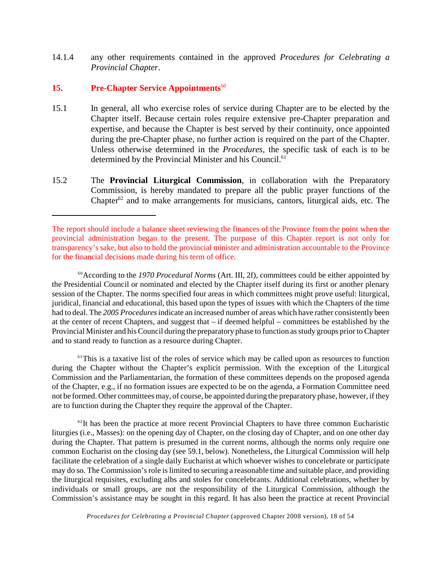14.1.4 any other requirements contained in the approved *Procedures for Celebrating a Provincial Chapter*.

#### **15. Pre-Chapter Service Appointments**<sup>60</sup>

- 15.1 In general, all who exercise roles of service during Chapter are to be elected by the Chapter itself. Because certain roles require extensive pre-Chapter preparation and expertise, and because the Chapter is best served by their continuity, once appointed during the pre-Chapter phase, no further action is required on the part of the Chapter. Unless otherwise determined in the *Procedures*, the specific task of each is to be determined by the Provincial Minister and his Council.<sup>61</sup>
- 15.2 The **Provincial Liturgical Commission**, in collaboration with the Preparatory Commission, is hereby mandated to prepare all the public prayer functions of the Chapter<sup>62</sup> and to make arrangements for musicians, cantors, liturgical aids, etc. The

<sup>60</sup> According to the *1970 Procedural Norms* (Art. III, 2f), committees could be either appointed by the Presidential Council or nominated and elected by the Chapter itself during its first or another plenary session of the Chapter. The norms specified four areas in which committees might prove useful: liturgical, juridical, financial and educational, this based upon the types of issues with which the Chapters of the time had to deal. The *2005 Procedures*indicate an increased number of areas which have rather consistently been at the center of recent Chapters, and suggest that – if deemed helpful – committees be established by the Provincial Minister and his Council during the preparatory phase to function as study groups prior to Chapter and to stand ready to function as a resource during Chapter.

 $<sup>61</sup>$ This is a taxative list of the roles of service which may be called upon as resources to function</sup> during the Chapter without the Chapter's explicit permission. With the exception of the Liturgical Commission and the Parliamentarian, the formation of these committees depends on the proposed agenda of the Chapter, e.g., if no formation issues are expected to be on the agenda, a Formation Committee need not be formed. Other committees may, of course, be appointed during the preparatory phase, however, if they are to function during the Chapter they require the approval of the Chapter.

 $62$ It has been the practice at more recent Provincial Chapters to have three common Eucharistic liturgies (i.e., Masses): on the opening day of Chapter, on the closing day of Chapter, and on one other day during the Chapter. That pattern is presumed in the current norms, although the norms only require one common Eucharist on the closing day (see 59.1, below). Nonetheless, the Liturgical Commission will help facilitate the celebration of a single daily Eucharist at which whoever wishes to concelebrate or participate may do so. The Commission's role islimited to securing a reasonable time and suitable place, and providing the liturgical requisites, excluding albs and stoles for concelebrants. Additional celebrations, whether by individuals or small groups, are not the responsibility of the Liturgical Commission, although the Commission's assistance may be sought in this regard. It has also been the practice at recent Provincial

*Procedures for Celebrating a Provincial Chapter* (approved Chapter 2008 version), 18 of 54

The report should include a balance sheet reviewing the finances of the Province from the point when the provincial administration began to the present. The purpose of this Chapter report is not only for transparency's sake, but also to hold the provincial minister and administration accountable to the Province for the financial decisions made during his term of office.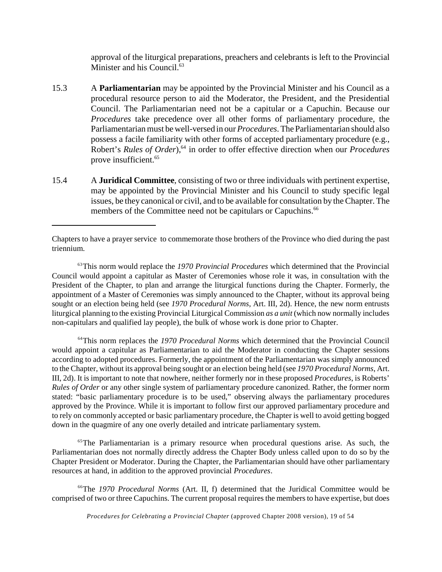approval of the liturgical preparations, preachers and celebrants is left to the Provincial Minister and his Council. $63$ 

- 15.3 A **Parliamentarian** may be appointed by the Provincial Minister and his Council as a procedural resource person to aid the Moderator, the President, and the Presidential Council. The Parliamentarian need not be a capitular or a Capuchin. Because our *Procedures* take precedence over all other forms of parliamentary procedure, the Parliamentarian must be well-versed in our *Procedures*. The Parliamentarian should also possess a facile familiarity with other forms of accepted parliamentary procedure (e.g., Robert's *Rules of Order*),<sup>64</sup> in order to offer effective direction when our *Procedures* prove insufficient.<sup>65</sup>
- 15.4 A **Juridical Committee**, consisting of two or three individuals with pertinent expertise, may be appointed by the Provincial Minister and his Council to study specific legal issues, be they canonical or civil, and to be available for consultation by the Chapter. The members of the Committee need not be capitulars or Capuchins.<sup>66</sup>

<sup>63</sup>This norm would replace the 1970 *Provincial Procedures* which determined that the Provincial Council would appoint a capitular as Master of Ceremonies whose role it was, in consultation with the President of the Chapter, to plan and arrange the liturgical functions during the Chapter. Formerly, the appointment of a Master of Ceremonies was simply announced to the Chapter, without its approval being sought or an election being held (see *1970 Procedural Norms*, Art. III, 2d). Hence, the new norm entrusts liturgical planning to the existing Provincial Liturgical Commission *as a unit* (which now normally includes non-capitulars and qualified lay people), the bulk of whose work is done prior to Chapter.

<sup>64</sup>This norm replaces the *1970 Procedural Norms* which determined that the Provincial Council would appoint a capitular as Parliamentarian to aid the Moderator in conducting the Chapter sessions according to adopted procedures. Formerly, the appointment of the Parliamentarian was simply announced to the Chapter, without its approval being sought or an election being held (see *1970 Procedural Norms*, Art. III, 2d). It is important to note that nowhere, neither formerly nor in these proposed *Procedures*, is Roberts' *Rules of Order* or any other single system of parliamentary procedure canonized. Rather, the former norm stated: "basic parliamentary procedure is to be used," observing always the parliamentary procedures approved by the Province. While it is important to follow first our approved parliamentary procedure and to rely on commonly accepted or basic parliamentary procedure, the Chapter is well to avoid getting bogged down in the quagmire of any one overly detailed and intricate parliamentary system.

 $<sup>65</sup>$ The Parliamentarian is a primary resource when procedural questions arise. As such, the</sup> Parliamentarian does not normally directly address the Chapter Body unless called upon to do so by the Chapter President or Moderator. During the Chapter, the Parliamentarian should have other parliamentary resources at hand, in addition to the approved provincial *Procedures*.

<sup>66</sup>The 1970 Procedural Norms (Art. II, f) determined that the Juridical Committee would be comprised of two or three Capuchins. The current proposal requires the members to have expertise, but does

*Procedures for Celebrating a Provincial Chapter* (approved Chapter 2008 version), 19 of 54

Chapters to have a prayer service to commemorate those brothers of the Province who died during the past triennium.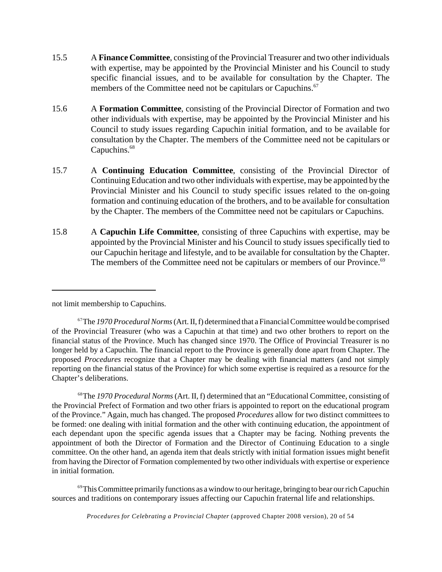- 15.5 A **Finance Committee**, consisting of the Provincial Treasurer and two other individuals with expertise, may be appointed by the Provincial Minister and his Council to study specific financial issues, and to be available for consultation by the Chapter. The members of the Committee need not be capitulars or Capuchins.<sup>67</sup>
- 15.6 A **Formation Committee**, consisting of the Provincial Director of Formation and two other individuals with expertise, may be appointed by the Provincial Minister and his Council to study issues regarding Capuchin initial formation, and to be available for consultation by the Chapter. The members of the Committee need not be capitulars or Capuchins.<sup>68</sup>
- 15.7 A **Continuing Education Committee**, consisting of the Provincial Director of Continuing Education and two other individuals with expertise, may be appointed by the Provincial Minister and his Council to study specific issues related to the on-going formation and continuing education of the brothers, and to be available for consultation by the Chapter. The members of the Committee need not be capitulars or Capuchins.
- 15.8 A **Capuchin Life Committee**, consisting of three Capuchins with expertise, may be appointed by the Provincial Minister and his Council to study issues specifically tied to our Capuchin heritage and lifestyle, and to be available for consultation by the Chapter. The members of the Committee need not be capitulars or members of our Province.<sup>69</sup>

#### not limit membership to Capuchins.

The *1970 Procedural Norms* (Art. II, f) determined that an "Educational Committee, consisting of <sup>68</sup> the Provincial Prefect of Formation and two other friars is appointed to report on the educational program of the Province." Again, much has changed. The proposed *Procedures* allow for two distinct committees to be formed: one dealing with initial formation and the other with continuing education, the appointment of each dependant upon the specific agenda issues that a Chapter may be facing. Nothing prevents the appointment of both the Director of Formation and the Director of Continuing Education to a single committee. On the other hand, an agenda item that deals strictly with initial formation issues might benefit from having the Director of Formation complemented by two other individuals with expertise or experience in initial formation.

<sup>69</sup>This Committee primarily functions as a window to our heritage, bringing to bear our rich Capuchin sources and traditions on contemporary issues affecting our Capuchin fraternal life and relationships.

<sup>&</sup>lt;sup>67</sup>The 1970 Procedural Norms (Art. II, f) determined that a Financial Committee would be comprised of the Provincial Treasurer (who was a Capuchin at that time) and two other brothers to report on the financial status of the Province. Much has changed since 1970. The Office of Provincial Treasurer is no longer held by a Capuchin. The financial report to the Province is generally done apart from Chapter. The proposed *Procedures* recognize that a Chapter may be dealing with financial matters (and not simply reporting on the financial status of the Province) for which some expertise is required as a resource for the Chapter's deliberations.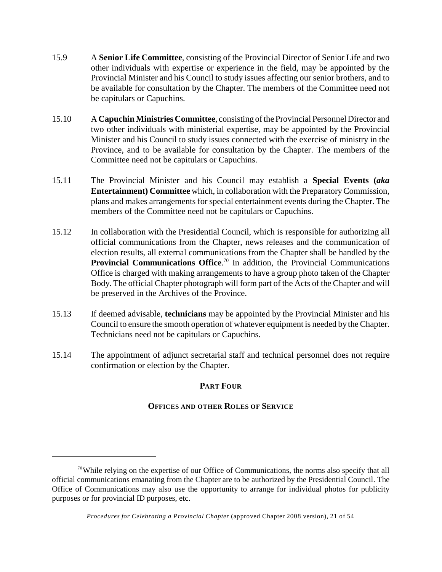- 15.9 A **Senior Life Committee**, consisting of the Provincial Director of Senior Life and two other individuals with expertise or experience in the field, may be appointed by the Provincial Minister and his Council to study issues affecting our senior brothers, and to be available for consultation by the Chapter. The members of the Committee need not be capitulars or Capuchins.
- 15.10 A **Capuchin Ministries Committee**, consisting of the Provincial Personnel Director and two other individuals with ministerial expertise, may be appointed by the Provincial Minister and his Council to study issues connected with the exercise of ministry in the Province, and to be available for consultation by the Chapter. The members of the Committee need not be capitulars or Capuchins.
- 15.11 The Provincial Minister and his Council may establish a **Special Events (***aka* **Entertainment) Committee** which, in collaboration with the Preparatory Commission, plans and makes arrangements for special entertainment events during the Chapter. The members of the Committee need not be capitulars or Capuchins.
- 15.12 In collaboration with the Presidential Council, which is responsible for authorizing all official communications from the Chapter, news releases and the communication of election results, all external communications from the Chapter shall be handled by the **Provincial Communications Office.**<sup>70</sup> In addition, the Provincial Communications Office is charged with making arrangements to have a group photo taken of the Chapter Body. The official Chapter photograph will form part of the Acts of the Chapter and will be preserved in the Archives of the Province.
- 15.13 If deemed advisable, **technicians** may be appointed by the Provincial Minister and his Council to ensure the smooth operation of whatever equipment is needed by the Chapter. Technicians need not be capitulars or Capuchins.
- 15.14 The appointment of adjunct secretarial staff and technical personnel does not require confirmation or election by the Chapter.

# **PART FOUR**

# **OFFICES AND OTHER ROLES OF SERVICE**

<sup>&</sup>lt;sup>70</sup>While relying on the expertise of our Office of Communications, the norms also specify that all official communications emanating from the Chapter are to be authorized by the Presidential Council. The Office of Communications may also use the opportunity to arrange for individual photos for publicity purposes or for provincial ID purposes, etc.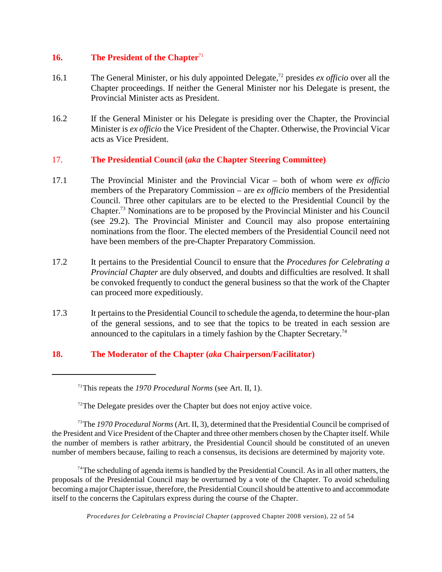## **16.** The President of the Chapter<sup>71</sup>

- 16.1 The General Minister, or his duly appointed Delegate,<sup>72</sup> presides *ex officio* over all the Chapter proceedings. If neither the General Minister nor his Delegate is present, the Provincial Minister acts as President.
- 16.2 If the General Minister or his Delegate is presiding over the Chapter, the Provincial Minister is *ex officio* the Vice President of the Chapter. Otherwise, the Provincial Vicar acts as Vice President.

## 17. **The Presidential Council (***aka* **the Chapter Steering Committee)**

- 17.1 The Provincial Minister and the Provincial Vicar both of whom were *ex officio* members of the Preparatory Commission – are *ex officio* members of the Presidential Council. Three other capitulars are to be elected to the Presidential Council by the Chapter.<sup>73</sup> Nominations are to be proposed by the Provincial Minister and his Council (see 29.2). The Provincial Minister and Council may also propose entertaining nominations from the floor. The elected members of the Presidential Council need not have been members of the pre-Chapter Preparatory Commission.
- 17.2 It pertains to the Presidential Council to ensure that the *Procedures for Celebrating a Provincial Chapter* are duly observed, and doubts and difficulties are resolved. It shall be convoked frequently to conduct the general business so that the work of the Chapter can proceed more expeditiously.
- 17.3 It pertains to the Presidential Council to schedule the agenda, to determine the hour-plan of the general sessions, and to see that the topics to be treated in each session are announced to the capitulars in a timely fashion by the Chapter Secretary.<sup>74</sup>

## **18. The Moderator of the Chapter (***aka* **Chairperson/Facilitator)**

 $74$ The scheduling of agenda items is handled by the Presidential Council. As in all other matters, the proposals of the Presidential Council may be overturned by a vote of the Chapter. To avoid scheduling becoming a major Chapter issue, therefore, the Presidential Council should be attentive to and accommodate itself to the concerns the Capitulars express during the course of the Chapter.

<sup>&</sup>lt;sup>71</sup>This repeats the *1970 Procedural Norms* (see Art. II, 1).

 $72$ The Delegate presides over the Chapter but does not enjoy active voice.

<sup>&</sup>lt;sup>73</sup> The 1970 *Procedural Norms* (Art. II, 3), determined that the Presidential Council be comprised of the President and Vice President of the Chapter and three other members chosen by the Chapter itself. While the number of members is rather arbitrary, the Presidential Council should be constituted of an uneven number of members because, failing to reach a consensus, its decisions are determined by majority vote.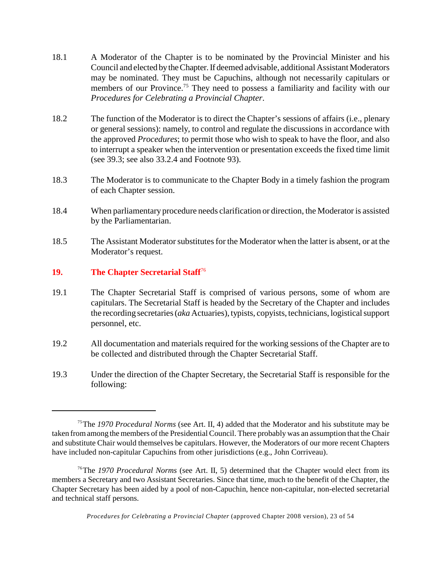- 18.1 A Moderator of the Chapter is to be nominated by the Provincial Minister and his Council and elected bytheChapter.If deemed advisable, additional Assistant Moderators may be nominated. They must be Capuchins, although not necessarily capitulars or members of our Province.<sup>75</sup> They need to possess a familiarity and facility with our *Procedures for Celebrating a Provincial Chapter*.
- 18.2 The function of the Moderator is to direct the Chapter's sessions of affairs (i.e., plenary or general sessions): namely, to control and regulate the discussions in accordance with the approved *Procedures*; to permit those who wish to speak to have the floor, and also to interrupt a speaker when the intervention or presentation exceeds the fixed time limit (see 39.3; see also 33.2.4 and Footnote 93).
- 18.3 The Moderator is to communicate to the Chapter Body in a timely fashion the program of each Chapter session.
- 18.4 When parliamentary procedure needs clarification or direction, the Moderator is assisted by the Parliamentarian.
- 18.5 The Assistant Moderator substitutes for the Moderator when the latter is absent, or at the Moderator's request.

## **19. The Chapter Secretarial Staff**<sup>76</sup>

- 19.1 The Chapter Secretarial Staff is comprised of various persons, some of whom are capitulars. The Secretarial Staff is headed by the Secretary of the Chapter and includes the recording secretaries (*aka* Actuaries), typists, copyists, technicians, logistical support personnel, etc.
- 19.2 All documentation and materials required for the working sessions of the Chapter are to be collected and distributed through the Chapter Secretarial Staff.
- 19.3 Under the direction of the Chapter Secretary, the Secretarial Staff is responsible for the following:

<sup>&</sup>lt;sup>75</sup>The 1970 Procedural Norms (see Art. II, 4) added that the Moderator and his substitute may be taken fromamong the members of the Presidential Council. There probably was an assumption that the Chair and substitute Chair would themselves be capitulars. However, the Moderators of our more recent Chapters have included non-capitular Capuchins from other jurisdictions (e.g., John Corriveau).

<sup>&</sup>lt;sup>76</sup>The 1970 Procedural Norms (see Art. II, 5) determined that the Chapter would elect from its members a Secretary and two Assistant Secretaries. Since that time, much to the benefit of the Chapter, the Chapter Secretary has been aided by a pool of non-Capuchin, hence non-capitular, non-elected secretarial and technical staff persons.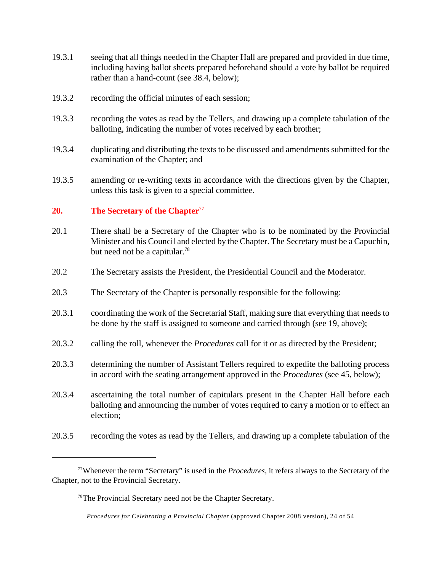- 19.3.1 seeing that all things needed in the Chapter Hall are prepared and provided in due time, including having ballot sheets prepared beforehand should a vote by ballot be required rather than a hand-count (see 38.4, below);
- 19.3.2 recording the official minutes of each session;
- 19.3.3 recording the votes as read by the Tellers, and drawing up a complete tabulation of the balloting, indicating the number of votes received by each brother;
- 19.3.4 duplicating and distributing the texts to be discussed and amendments submitted for the examination of the Chapter; and
- 19.3.5 amending or re-writing texts in accordance with the directions given by the Chapter, unless this task is given to a special committee.

## **20. The Secretary of the Chapter**<sup>77</sup>

- 20.1 There shall be a Secretary of the Chapter who is to be nominated by the Provincial Minister and his Council and elected by the Chapter. The Secretary must be a Capuchin, but need not be a capitular.<sup>78</sup>
- 20.2 The Secretary assists the President, the Presidential Council and the Moderator.
- 20.3 The Secretary of the Chapter is personally responsible for the following:
- 20.3.1 coordinating the work of the Secretarial Staff, making sure that everything that needs to be done by the staff is assigned to someone and carried through (see 19, above);
- 20.3.2 calling the roll, whenever the *Procedures* call for it or as directed by the President;
- 20.3.3 determining the number of Assistant Tellers required to expedite the balloting process in accord with the seating arrangement approved in the *Procedures* (see 45, below);
- 20.3.4 ascertaining the total number of capitulars present in the Chapter Hall before each balloting and announcing the number of votes required to carry a motion or to effect an election;
- 20.3.5 recording the votes as read by the Tellers, and drawing up a complete tabulation of the

<sup>&</sup>lt;sup>77</sup>Whenever the term "Secretary" is used in the *Procedures*, it refers always to the Secretary of the Chapter, not to the Provincial Secretary.

<sup>&</sup>lt;sup>78</sup>The Provincial Secretary need not be the Chapter Secretary.

*Procedures for Celebrating a Provincial Chapter* (approved Chapter 2008 version), 24 of 54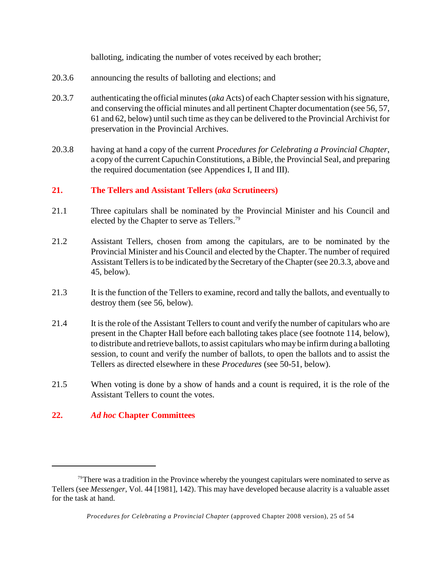balloting, indicating the number of votes received by each brother;

- 20.3.6 announcing the results of balloting and elections; and
- 20.3.7 authenticating the official minutes (*aka* Acts) of each Chapter session with his signature, and conserving the official minutes and all pertinent Chapter documentation (see 56, 57, 61 and 62, below) until such time as they can be delivered to the Provincial Archivist for preservation in the Provincial Archives.
- 20.3.8 having at hand a copy of the current *Procedures for Celebrating a Provincial Chapter*, a copy of the current Capuchin Constitutions, a Bible, the Provincial Seal, and preparing the required documentation (see Appendices I, II and III).

## **21. The Tellers and Assistant Tellers (***aka* **Scrutineers)**

- 21.1 Three capitulars shall be nominated by the Provincial Minister and his Council and elected by the Chapter to serve as Tellers.<sup>79</sup>
- 21.2 Assistant Tellers, chosen from among the capitulars, are to be nominated by the Provincial Minister and his Council and elected by the Chapter. The number of required Assistant Tellers is to be indicated by the Secretary of the Chapter (see 20.3.3, above and 45, below).
- 21.3 It is the function of the Tellers to examine, record and tally the ballots, and eventually to destroy them (see 56, below).
- 21.4 It is the role of the Assistant Tellers to count and verify the number of capitulars who are present in the Chapter Hall before each balloting takes place (see footnote 114, below), to distribute and retrieve ballots, to assist capitulars who may be infirm during a balloting session, to count and verify the number of ballots, to open the ballots and to assist the Tellers as directed elsewhere in these *Procedures* (see 50-51, below).
- 21.5 When voting is done by a show of hands and a count is required, it is the role of the Assistant Tellers to count the votes.

## **22.** *Ad hoc* **Chapter Committees**

 $79$ There was a tradition in the Province whereby the youngest capitulars were nominated to serve as Tellers (see *Messenger*, Vol. 44 [1981], 142). This may have developed because alacrity is a valuable asset for the task at hand.

*Procedures for Celebrating a Provincial Chapter* (approved Chapter 2008 version), 25 of 54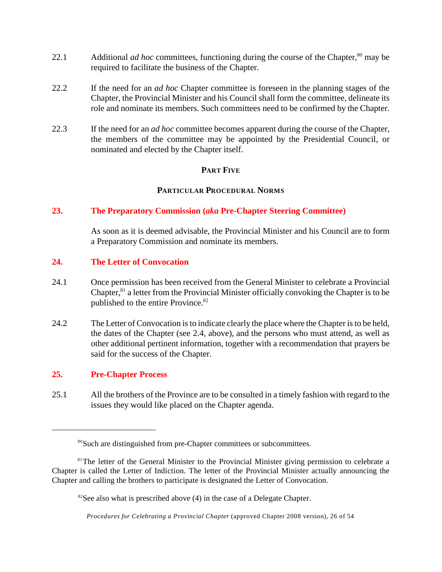- 22.1 Additional *ad hoc* committees, functioning during the course of the Chapter,<sup>80</sup> may be required to facilitate the business of the Chapter.
- 22.2 If the need for an *ad hoc* Chapter committee is foreseen in the planning stages of the Chapter, the Provincial Minister and his Council shall form the committee, delineate its role and nominate its members. Such committees need to be confirmed by the Chapter.
- 22.3 If the need for an *ad hoc* committee becomes apparent during the course of the Chapter, the members of the committee may be appointed by the Presidential Council, or nominated and elected by the Chapter itself.

#### **PART FIVE**

#### **PARTICULAR PROCEDURAL NORMS**

## **23. The Preparatory Commission (***aka* **Pre-Chapter Steering Committee)**

As soon as it is deemed advisable, the Provincial Minister and his Council are to form a Preparatory Commission and nominate its members.

## **24. The Letter of Convocation**

- 24.1 Once permission has been received from the General Minister to celebrate a Provincial Chapter,  $81$  a letter from the Provincial Minister officially convoking the Chapter is to be published to the entire Province.<sup>82</sup>
- 24.2 The Letter of Convocation is to indicate clearly the place where the Chapter is to be held, the dates of the Chapter (see 2.4, above), and the persons who must attend, as well as other additional pertinent information, together with a recommendation that prayers be said for the success of the Chapter.

#### **25. Pre-Chapter Process**

25.1 All the brothers of the Province are to be consulted in a timely fashion with regard to the issues they would like placed on the Chapter agenda.

<sup>&</sup>lt;sup>80</sup>Such are distinguished from pre-Chapter committees or subcommittees.

<sup>&</sup>lt;sup>81</sup>The letter of the General Minister to the Provincial Minister giving permission to celebrate a Chapter is called the Letter of Indiction. The letter of the Provincial Minister actually announcing the Chapter and calling the brothers to participate is designated the Letter of Convocation.

 $82$ See also what is prescribed above (4) in the case of a Delegate Chapter.

*Procedures for Celebrating a Provincial Chapter* (approved Chapter 2008 version), 26 of 54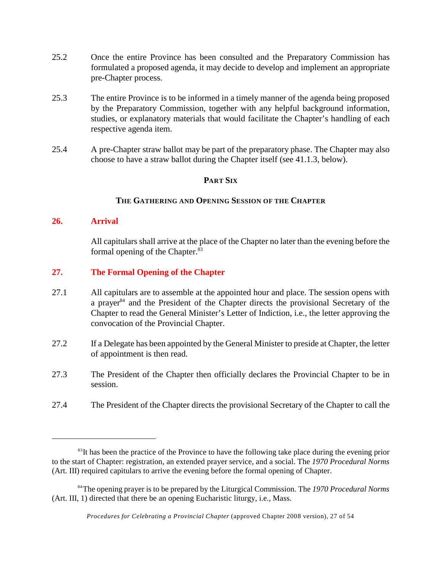- 25.2 Once the entire Province has been consulted and the Preparatory Commission has formulated a proposed agenda, it may decide to develop and implement an appropriate pre-Chapter process.
- 25.3 The entire Province is to be informed in a timely manner of the agenda being proposed by the Preparatory Commission, together with any helpful background information, studies, or explanatory materials that would facilitate the Chapter's handling of each respective agenda item.
- 25.4 A pre-Chapter straw ballot may be part of the preparatory phase. The Chapter may also choose to have a straw ballot during the Chapter itself (see 41.1.3, below).

## **PART SIX**

## **THE GATHERING AND OPENING SESSION OF THE CHAPTER**

#### **26. Arrival**

All capitulars shall arrive at the place of the Chapter no later than the evening before the formal opening of the Chapter.<sup>83</sup>

## **27. The Formal Opening of the Chapter**

- 27.1 All capitulars are to assemble at the appointed hour and place. The session opens with a prayer<sup>84</sup> and the President of the Chapter directs the provisional Secretary of the Chapter to read the General Minister's Letter of Indiction, i.e., the letter approving the convocation of the Provincial Chapter.
- 27.2 If a Delegate has been appointed by the General Minister to preside at Chapter, the letter of appointment is then read.
- 27.3 The President of the Chapter then officially declares the Provincial Chapter to be in session.
- 27.4 The President of the Chapter directs the provisional Secretary of the Chapter to call the

<sup>&</sup>lt;sup>83</sup>It has been the practice of the Province to have the following take place during the evening prior to the start of Chapter: registration, an extended prayer service, and a social. The *1970 Procedural Norms* (Art. III) required capitulars to arrive the evening before the formal opening of Chapter.

The opening prayer is to be prepared by the Liturgical Commission. The *1970 Procedural Norms* <sup>84</sup> (Art. III, 1) directed that there be an opening Eucharistic liturgy, i.e., Mass.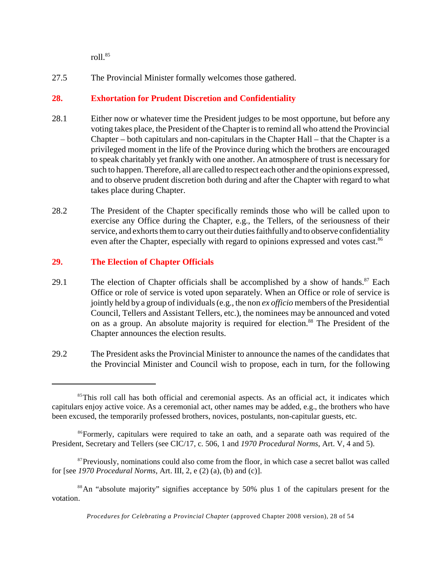roll. $85$ 

27.5 The Provincial Minister formally welcomes those gathered.

## **28. Exhortation for Prudent Discretion and Confidentiality**

- 28.1 Either now or whatever time the President judges to be most opportune, but before any voting takes place, the President of the Chapter is to remind all who attend the Provincial Chapter – both capitulars and non-capitulars in the Chapter Hall – that the Chapter is a privileged moment in the life of the Province during which the brothers are encouraged to speak charitably yet frankly with one another. An atmosphere of trust is necessary for such to happen. Therefore, all are called to respect each other and the opinions expressed, and to observe prudent discretion both during and after the Chapter with regard to what takes place during Chapter.
- 28.2 The President of the Chapter specifically reminds those who will be called upon to exercise any Office during the Chapter, e.g., the Tellers, of the seriousness of their service, and exhorts them to carry out their duties faithfully and to observe confidentiality even after the Chapter, especially with regard to opinions expressed and votes cast.<sup>86</sup>

## **29. The Election of Chapter Officials**

- 29.1 The election of Chapter officials shall be accomplished by a show of hands. $87$  Each Office or role of service is voted upon separately. When an Office or role of service is jointly held by a group of individuals (e.g., the non *ex officio* members of the Presidential Council, Tellers and Assistant Tellers, etc.), the nominees may be announced and voted on as a group. An absolute majority is required for election.<sup>88</sup> The President of the Chapter announces the election results.
- 29.2 The President asks the Provincial Minister to announce the names of the candidates that the Provincial Minister and Council wish to propose, each in turn, for the following

<sup>&</sup>lt;sup>85</sup>This roll call has both official and ceremonial aspects. As an official act, it indicates which capitulars enjoy active voice. As a ceremonial act, other names may be added, e.g., the brothers who have been excused, the temporarily professed brothers, novices, postulants, non-capitular guests, etc.

 $86$  Formerly, capitulars were required to take an oath, and a separate oath was required of the President, Secretary and Tellers (see CIC/17, c. 506, 1 and *1970 Procedural Norms*, Art. V, 4 and 5).

<sup>&</sup>lt;sup>87</sup> Previously, nominations could also come from the floor, in which case a secret ballot was called for [see *1970 Procedural Norms*, Art. III, 2, e (2) (a), (b) and (c)].

<sup>&</sup>lt;sup>88</sup>An "absolute majority" signifies acceptance by 50% plus 1 of the capitulars present for the votation.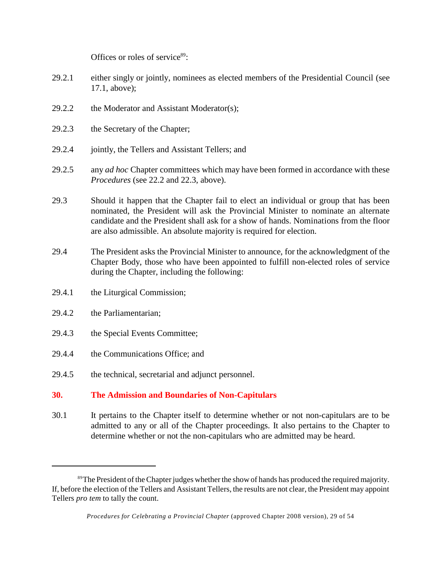Offices or roles of service<sup>89</sup>:

- 29.2.1 either singly or jointly, nominees as elected members of the Presidential Council (see 17.1, above);
- 29.2.2 the Moderator and Assistant Moderator(s):
- 29.2.3 the Secretary of the Chapter;
- 29.2.4 jointly, the Tellers and Assistant Tellers; and
- 29.2.5 any *ad hoc* Chapter committees which may have been formed in accordance with these *Procedures* (see 22.2 and 22.3, above).
- 29.3 Should it happen that the Chapter fail to elect an individual or group that has been nominated, the President will ask the Provincial Minister to nominate an alternate candidate and the President shall ask for a show of hands. Nominations from the floor are also admissible. An absolute majority is required for election.
- 29.4 The President asks the Provincial Minister to announce, for the acknowledgment of the Chapter Body, those who have been appointed to fulfill non-elected roles of service during the Chapter, including the following:
- 29.4.1 the Liturgical Commission;
- 29.4.2 the Parliamentarian;
- 29.4.3 the Special Events Committee;
- 29.4.4 the Communications Office; and
- 29.4.5 the technical, secretarial and adjunct personnel.

# **30. The Admission and Boundaries of Non-Capitulars**

30.1 It pertains to the Chapter itself to determine whether or not non-capitulars are to be admitted to any or all of the Chapter proceedings. It also pertains to the Chapter to determine whether or not the non-capitulars who are admitted may be heard.

<sup>&</sup>lt;sup>89</sup>The President of the Chapter judges whether the show of hands has produced the required majority. If, before the election of the Tellers and Assistant Tellers, the results are not clear, the President may appoint Tellers *pro tem* to tally the count.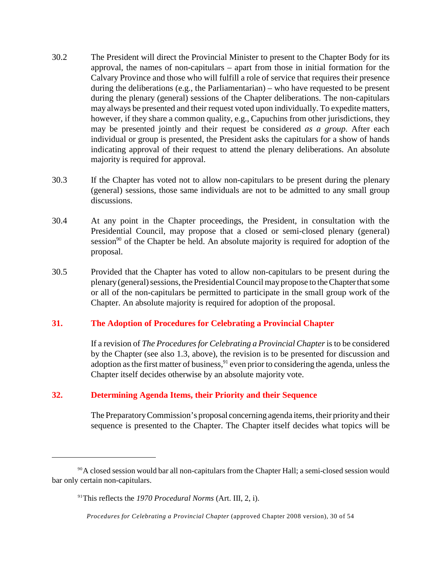- 30.2 The President will direct the Provincial Minister to present to the Chapter Body for its approval, the names of non-capitulars – apart from those in initial formation for the Calvary Province and those who will fulfill a role of service that requires their presence during the deliberations (e.g., the Parliamentarian) – who have requested to be present during the plenary (general) sessions of the Chapter deliberations. The non-capitulars may always be presented and their request voted upon individually. To expedite matters, however, if they share a common quality, e.g., Capuchins from other jurisdictions, they may be presented jointly and their request be considered *as a group*. After each individual or group is presented, the President asks the capitulars for a show of hands indicating approval of their request to attend the plenary deliberations. An absolute majority is required for approval.
- 30.3 If the Chapter has voted not to allow non-capitulars to be present during the plenary (general) sessions, those same individuals are not to be admitted to any small group discussions.
- 30.4 At any point in the Chapter proceedings, the President, in consultation with the Presidential Council, may propose that a closed or semi-closed plenary (general) session<sup>90</sup> of the Chapter be held. An absolute majority is required for adoption of the proposal.
- 30.5 Provided that the Chapter has voted to allow non-capitulars to be present during the plenary(general) sessions, the Presidential Council maypropose to theChapterthat some or all of the non-capitulars be permitted to participate in the small group work of the Chapter. An absolute majority is required for adoption of the proposal.

## **31. The Adoption of Procedures for Celebrating a Provincial Chapter**

If a revision of *The Procedures for Celebrating a Provincial Chapter*is to be considered by the Chapter (see also 1.3, above), the revision is to be presented for discussion and adoption as the first matter of business,  $91$  even prior to considering the agenda, unless the Chapter itself decides otherwise by an absolute majority vote.

## **32. Determining Agenda Items, their Priority and their Sequence**

The PreparatoryCommission's proposal concerning agenda items, their priorityand their sequence is presented to the Chapter. The Chapter itself decides what topics will be

<sup>&</sup>lt;sup>90</sup>A closed session would bar all non-capitulars from the Chapter Hall; a semi-closed session would bar only certain non-capitulars.

<sup>&</sup>lt;sup>91</sup>This reflects the *1970 Procedural Norms* (Art. III, 2, i).

*Procedures for Celebrating a Provincial Chapter* (approved Chapter 2008 version), 30 of 54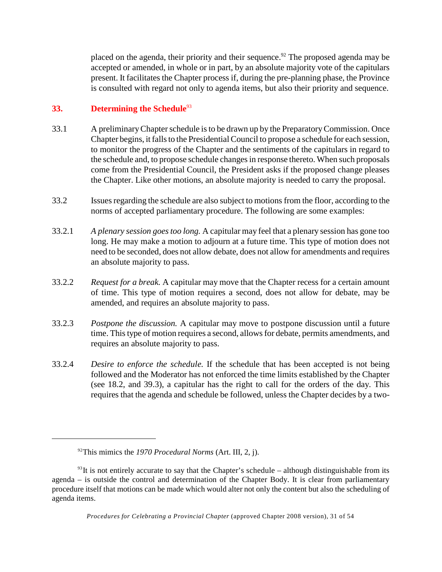placed on the agenda, their priority and their sequence.<sup>92</sup> The proposed agenda may be accepted or amended, in whole or in part, by an absolute majority vote of the capitulars present. It facilitates the Chapter process if, during the pre-planning phase, the Province is consulted with regard not only to agenda items, but also their priority and sequence.

## **33. Determining the Schedule**<sup>93</sup>

- 33.1 A preliminaryChapter schedule is to be drawn up by the PreparatoryCommission. Once Chapter begins, it falls to the Presidential Council to propose a schedule for each session, to monitor the progress of the Chapter and the sentiments of the capitulars in regard to the schedule and, to propose schedule changes in response thereto. When such proposals come from the Presidential Council, the President asks if the proposed change pleases the Chapter. Like other motions, an absolute majority is needed to carry the proposal.
- 33.2 Issues regarding the schedule are also subject to motions from the floor, according to the norms of accepted parliamentary procedure. The following are some examples:
- 33.2.1 *A plenary session goes too long.* A capitular may feel that a plenary session has gone too long. He may make a motion to adjourn at a future time. This type of motion does not need to be seconded, does not allow debate, does not allow for amendments and requires an absolute majority to pass.
- 33.2.2 *Request for a break.* A capitular may move that the Chapter recess for a certain amount of time. This type of motion requires a second, does not allow for debate, may be amended, and requires an absolute majority to pass.
- 33.2.3 *Postpone the discussion.* A capitular may move to postpone discussion until a future time. This type of motion requires a second, allows for debate, permits amendments, and requires an absolute majority to pass.
- 33.2.4 *Desire to enforce the schedule.* If the schedule that has been accepted is not being followed and the Moderator has not enforced the time limits established by the Chapter (see 18.2, and 39.3), a capitular has the right to call for the orders of the day. This requires that the agenda and schedule be followed, unless the Chapter decides by a two-

<sup>&</sup>lt;sup>92</sup>This mimics the *1970 Procedural Norms* (Art. III, 2, j).

 $93$ It is not entirely accurate to say that the Chapter's schedule – although distinguishable from its agenda – is outside the control and determination of the Chapter Body. It is clear from parliamentary procedure itself that motions can be made which would alter not only the content but also the scheduling of agenda items.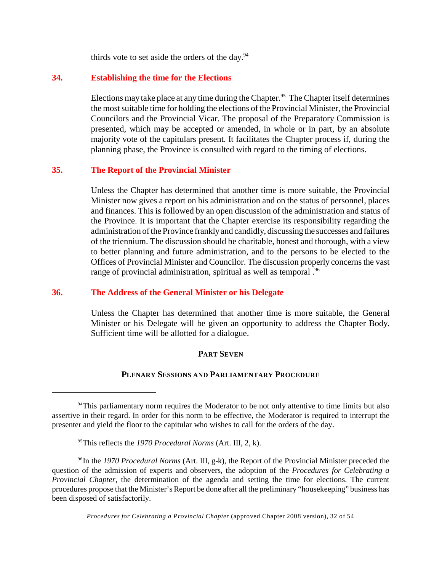thirds vote to set aside the orders of the day.<sup>94</sup>

#### **34. Establishing the time for the Elections**

Elections may take place at any time during the Chapter.<sup>95</sup> The Chapter itself determines the most suitable time for holding the elections of the Provincial Minister, the Provincial Councilors and the Provincial Vicar. The proposal of the Preparatory Commission is presented, which may be accepted or amended, in whole or in part, by an absolute majority vote of the capitulars present. It facilitates the Chapter process if, during the planning phase, the Province is consulted with regard to the timing of elections.

#### **35. The Report of the Provincial Minister**

Unless the Chapter has determined that another time is more suitable, the Provincial Minister now gives a report on his administration and on the status of personnel, places and finances. This is followed by an open discussion of the administration and status of the Province. It is important that the Chapter exercise its responsibility regarding the administration of the Province franklyand candidly, discussing the successes and failures of the triennium. The discussion should be charitable, honest and thorough, with a view to better planning and future administration, and to the persons to be elected to the Offices of Provincial Minister and Councilor. The discussion properly concerns the vast range of provincial administration, spiritual as well as temporal.<sup>96</sup>

#### **36. The Address of the General Minister or his Delegate**

Unless the Chapter has determined that another time is more suitable, the General Minister or his Delegate will be given an opportunity to address the Chapter Body. Sufficient time will be allotted for a dialogue.

## **PART SEVEN**

#### **PLENARY SESSIONS AND PARLIAMENTARY PROCEDURE**

*Procedures for Celebrating a Provincial Chapter* (approved Chapter 2008 version), 32 of 54

 $94$ This parliamentary norm requires the Moderator to be not only attentive to time limits but also assertive in their regard. In order for this norm to be effective, the Moderator is required to interrupt the presenter and yield the floor to the capitular who wishes to call for the orders of the day.

<sup>&</sup>lt;sup>95</sup>This reflects the *1970 Procedural Norms* (Art. III, 2, k).

<sup>&</sup>lt;sup>96</sup>In the *1970 Procedural Norms* (Art. III, g-k), the Report of the Provincial Minister preceded the question of the admission of experts and observers, the adoption of the *Procedures for Celebrating a Provincial Chapter*, the determination of the agenda and setting the time for elections. The current procedures propose that the Minister's Report be done after all the preliminary "housekeeping" business has been disposed of satisfactorily.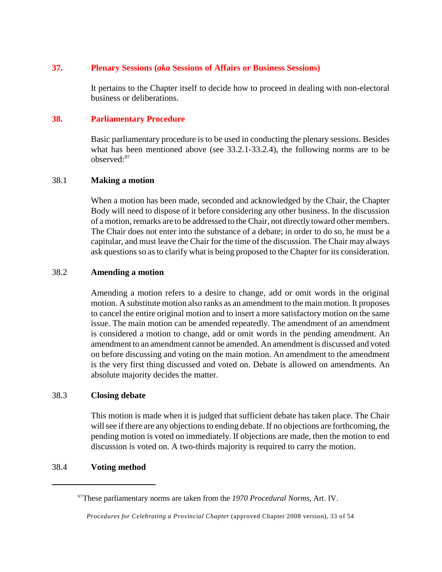#### **37. Plenary Sessions (***aka* **Sessions of Affairs or Business Sessions)**

It pertains to the Chapter itself to decide how to proceed in dealing with non-electoral business or deliberations.

### **38. Parliamentary Procedure**

Basic parliamentary procedure is to be used in conducting the plenary sessions. Besides what has been mentioned above (see 33.2.1-33.2.4), the following norms are to be observed:<sup>97</sup>

#### 38.1 **Making a motion**

When a motion has been made, seconded and acknowledged by the Chair, the Chapter Body will need to dispose of it before considering any other business. In the discussion of a motion, remarks are to be addressed to the Chair, not directly toward other members. The Chair does not enter into the substance of a debate; in order to do so, he must be a capitular, and must leave the Chair for the time of the discussion. The Chair may always ask questions so as to clarify what is being proposed to the Chapter for its consideration.

#### 38.2 **Amending a motion**

Amending a motion refers to a desire to change, add or omit words in the original motion. A substitute motion also ranks as an amendment to the main motion. It proposes to cancel the entire original motion and to insert a more satisfactory motion on the same issue. The main motion can be amended repeatedly. The amendment of an amendment is considered a motion to change, add or omit words in the pending amendment. An amendment to an amendment cannot be amended. An amendment is discussed and voted on before discussing and voting on the main motion. An amendment to the amendment is the very first thing discussed and voted on. Debate is allowed on amendments. An absolute majority decides the matter.

#### 38.3 **Closing debate**

This motion is made when it is judged that sufficient debate has taken place. The Chair will see if there are any objections to ending debate. If no objections are forthcoming, the pending motion is voted on immediately. If objections are made, then the motion to end discussion is voted on. A two-thirds majority is required to carry the motion.

#### 38.4 **Voting method**

These parliamentary norms are taken from the *1970 Procedural Norms*, Art. IV. 97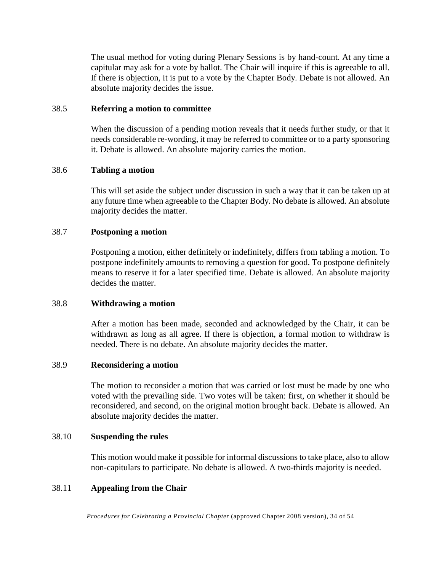The usual method for voting during Plenary Sessions is by hand-count. At any time a capitular may ask for a vote by ballot. The Chair will inquire if this is agreeable to all. If there is objection, it is put to a vote by the Chapter Body. Debate is not allowed. An absolute majority decides the issue.

#### 38.5 **Referring a motion to committee**

When the discussion of a pending motion reveals that it needs further study, or that it needs considerable re-wording, it may be referred to committee or to a party sponsoring it. Debate is allowed. An absolute majority carries the motion.

#### 38.6 **Tabling a motion**

This will set aside the subject under discussion in such a way that it can be taken up at any future time when agreeable to the Chapter Body. No debate is allowed. An absolute majority decides the matter.

#### 38.7 **Postponing a motion**

Postponing a motion, either definitely or indefinitely, differs from tabling a motion. To postpone indefinitely amounts to removing a question for good. To postpone definitely means to reserve it for a later specified time. Debate is allowed. An absolute majority decides the matter.

#### 38.8 **Withdrawing a motion**

After a motion has been made, seconded and acknowledged by the Chair, it can be withdrawn as long as all agree. If there is objection, a formal motion to withdraw is needed. There is no debate. An absolute majority decides the matter.

#### 38.9 **Reconsidering a motion**

The motion to reconsider a motion that was carried or lost must be made by one who voted with the prevailing side. Two votes will be taken: first, on whether it should be reconsidered, and second, on the original motion brought back. Debate is allowed. An absolute majority decides the matter.

#### 38.10 **Suspending the rules**

This motion would make it possible for informal discussions to take place, also to allow non-capitulars to participate. No debate is allowed. A two-thirds majority is needed.

#### 38.11 **Appealing from the Chair**

*Procedures for Celebrating a Provincial Chapter* (approved Chapter 2008 version), 34 of 54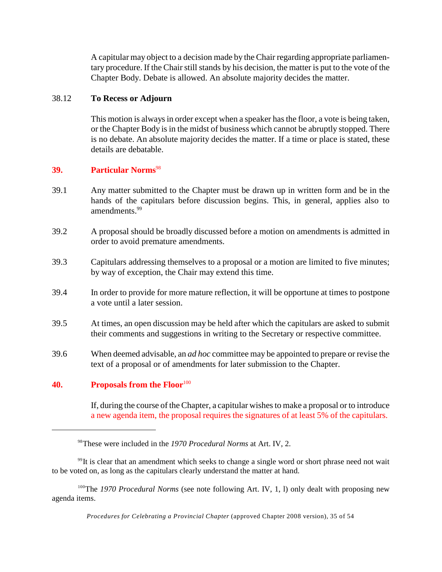A capitular may object to a decision made by the Chair regarding appropriate parliamentary procedure. If the Chair still stands by his decision, the matter is put to the vote of the Chapter Body. Debate is allowed. An absolute majority decides the matter.

#### 38.12 **To Recess or Adjourn**

This motion is always in order except when a speaker has the floor, a vote is being taken, or the Chapter Body is in the midst of business which cannot be abruptly stopped. There is no debate. An absolute majority decides the matter. If a time or place is stated, these details are debatable.

## **39. Particular Norms** 98

- 39.1 Any matter submitted to the Chapter must be drawn up in written form and be in the hands of the capitulars before discussion begins. This, in general, applies also to amendments.<sup>99</sup>
- 39.2 A proposal should be broadly discussed before a motion on amendments is admitted in order to avoid premature amendments.
- 39.3 Capitulars addressing themselves to a proposal or a motion are limited to five minutes; by way of exception, the Chair may extend this time.
- 39.4 In order to provide for more mature reflection, it will be opportune at times to postpone a vote until a later session.
- 39.5 At times, an open discussion may be held after which the capitulars are asked to submit their comments and suggestions in writing to the Secretary or respective committee.
- 39.6 When deemed advisable, an *ad hoc* committee may be appointed to prepare or revise the text of a proposal or of amendments for later submission to the Chapter.

#### **40. Proposals from the Floor**<sup>100</sup>

If, during the course of the Chapter, a capitular wishes to make a proposal or to introduce a new agenda item, the proposal requires the signatures of at least 5% of the capitulars.

*Procedures for Celebrating a Provincial Chapter* (approved Chapter 2008 version), 35 of 54

<sup>&</sup>lt;sup>98</sup>These were included in the *1970 Procedural Norms* at Art. IV, 2.

<sup>&</sup>lt;sup>99</sup>It is clear that an amendment which seeks to change a single word or short phrase need not wait to be voted on, as long as the capitulars clearly understand the matter at hand.

<sup>&</sup>lt;sup>100</sup>The *1970 Procedural Norms* (see note following Art. IV, 1, 1) only dealt with proposing new agenda items.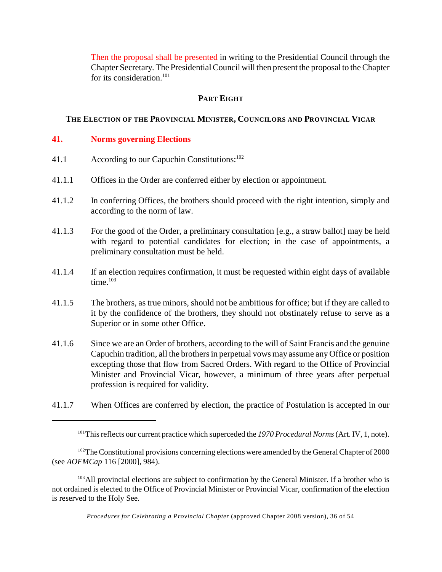Then the proposal shall be presented in writing to the Presidential Council through the Chapter Secretary. The Presidential Council will then present the proposal to the Chapter for its consideration.<sup>101</sup>

## **PART EIGHT**

### **THE ELECTION OF THE PROVINCIAL MINISTER, COUNCILORS AND PROVINCIAL VICAR**

#### **41. Norms governing Elections**

- 41.1 According to our Capuchin Constitutions:<sup>102</sup>
- 41.1.1 Offices in the Order are conferred either by election or appointment.
- 41.1.2 In conferring Offices, the brothers should proceed with the right intention, simply and according to the norm of law.
- 41.1.3 For the good of the Order, a preliminary consultation [e.g., a straw ballot] may be held with regard to potential candidates for election; in the case of appointments, a preliminary consultation must be held.
- 41.1.4 If an election requires confirmation, it must be requested within eight days of available time. $103$
- 41.1.5 The brothers, as true minors, should not be ambitious for office; but if they are called to it by the confidence of the brothers, they should not obstinately refuse to serve as a Superior or in some other Office.
- 41.1.6 Since we are an Order of brothers, according to the will of Saint Francis and the genuine Capuchin tradition, all the brothers in perpetual vows may assume any Office or position excepting those that flow from Sacred Orders. With regard to the Office of Provincial Minister and Provincial Vicar, however, a minimum of three years after perpetual profession is required for validity.
- 41.1.7 When Offices are conferred by election, the practice of Postulation is accepted in our

<sup>&</sup>lt;sup>101</sup>This reflects our current practice which superceded the *1970 Procedural Norms* (Art. IV, 1, note).

 $102$ The Constitutional provisions concerning elections were amended by the General Chapter of 2000 (see *AOFMCap* 116 [2000], 984).

 $103$  All provincial elections are subject to confirmation by the General Minister. If a brother who is not ordained is elected to the Office of Provincial Minister or Provincial Vicar, confirmation of the election is reserved to the Holy See.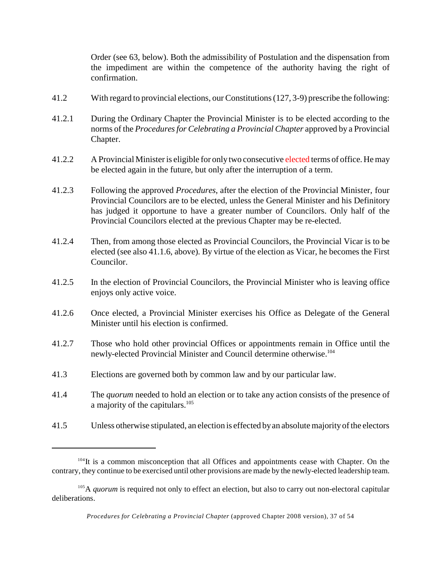Order (see 63, below). Both the admissibility of Postulation and the dispensation from the impediment are within the competence of the authority having the right of confirmation.

- 41.2 With regard to provincial elections, our Constitutions (127, 3-9) prescribe the following:
- 41.2.1 During the Ordinary Chapter the Provincial Minister is to be elected according to the norms of the *Procedures for Celebrating a Provincial Chapter* approved by a Provincial Chapter.
- 41.2.2 A Provincial Minister is eligible for only two consecutive elected terms of office. He may be elected again in the future, but only after the interruption of a term.
- 41.2.3 Following the approved *Procedures*, after the election of the Provincial Minister, four Provincial Councilors are to be elected, unless the General Minister and his Definitory has judged it opportune to have a greater number of Councilors. Only half of the Provincial Councilors elected at the previous Chapter may be re-elected.
- 41.2.4 Then, from among those elected as Provincial Councilors, the Provincial Vicar is to be elected (see also 41.1.6, above). By virtue of the election as Vicar, he becomes the First Councilor.
- 41.2.5 In the election of Provincial Councilors, the Provincial Minister who is leaving office enjoys only active voice.
- 41.2.6 Once elected, a Provincial Minister exercises his Office as Delegate of the General Minister until his election is confirmed.
- 41.2.7 Those who hold other provincial Offices or appointments remain in Office until the newly-elected Provincial Minister and Council determine otherwise.<sup>104</sup>
- 41.3 Elections are governed both by common law and by our particular law.
- 41.4 The *quorum* needed to hold an election or to take any action consists of the presence of a majority of the capitulars.<sup>105</sup>
- 41.5 Unless otherwise stipulated, an election is effected byan absolute majority of the electors

 $104$ It is a common misconception that all Offices and appointments cease with Chapter. On the contrary, they continue to be exercised until other provisions are made by the newly-elected leadership team.

 $105A$  *quorum* is required not only to effect an election, but also to carry out non-electoral capitular deliberations.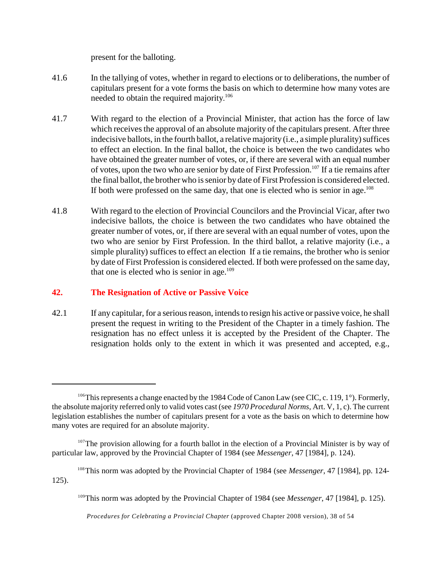present for the balloting.

- 41.6 In the tallying of votes, whether in regard to elections or to deliberations, the number of capitulars present for a vote forms the basis on which to determine how many votes are needed to obtain the required majority.<sup>106</sup>
- 41.7 With regard to the election of a Provincial Minister, that action has the force of law which receives the approval of an absolute majority of the capitulars present. After three indecisive ballots, in the fourth ballot, a relative majority (i.e., a simple plurality) suffices to effect an election. In the final ballot, the choice is between the two candidates who have obtained the greater number of votes, or, if there are several with an equal number of votes, upon the two who are senior by date of First Profession.<sup>107</sup> If a tie remains after the final ballot, the brother who is senior by date of First Profession is considered elected. If both were professed on the same day, that one is elected who is senior in age.<sup>108</sup>
- 41.8 With regard to the election of Provincial Councilors and the Provincial Vicar, after two indecisive ballots, the choice is between the two candidates who have obtained the greater number of votes, or, if there are several with an equal number of votes, upon the two who are senior by First Profession. In the third ballot, a relative majority (i.e., a simple plurality) suffices to effect an election If a tie remains, the brother who is senior by date of First Profession is considered elected. If both were professed on the same day, that one is elected who is senior in age. $109$

## **42. The Resignation of Active or Passive Voice**

42.1 If any capitular, for a serious reason, intends to resign his active or passive voice, he shall present the request in writing to the President of the Chapter in a timely fashion. The resignation has no effect unless it is accepted by the President of the Chapter. The resignation holds only to the extent in which it was presented and accepted, e.g.,

 $106$ This represents a change enacted by the 1984 Code of Canon Law (see CIC, c. 119, 1 $^{\circ}$ ). Formerly, the absolute majority referred only to valid votes cast (see *1970 Procedural Norms*, Art. V, 1, c). The current legislation establishes the number of capitulars present for a vote as the basis on which to determine how many votes are required for an absolute majority.

 $107$  The provision allowing for a fourth ballot in the election of a Provincial Minister is by way of particular law, approved by the Provincial Chapter of 1984 (see *Messenger*, 47 [1984], p. 124).

<sup>&</sup>lt;sup>108</sup> This norm was adopted by the Provincial Chapter of 1984 (see *Messenger*, 47 [1984], pp. 124-125).

<sup>&</sup>lt;sup>109</sup>This norm was adopted by the Provincial Chapter of 1984 (see *Messenger*, 47 [1984], p. 125).

*Procedures for Celebrating a Provincial Chapter* (approved Chapter 2008 version), 38 of 54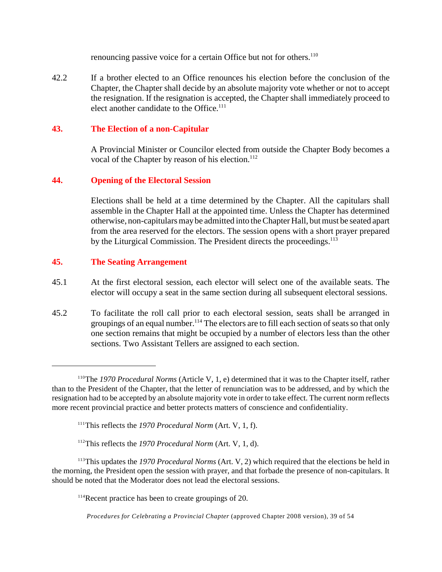renouncing passive voice for a certain Office but not for others.<sup>110</sup>

42.2 If a brother elected to an Office renounces his election before the conclusion of the Chapter, the Chapter shall decide by an absolute majority vote whether or not to accept the resignation. If the resignation is accepted, the Chapter shall immediately proceed to elect another candidate to the Office.<sup>111</sup>

## **43. The Election of a non-Capitular**

A Provincial Minister or Councilor elected from outside the Chapter Body becomes a vocal of the Chapter by reason of his election.<sup>112</sup>

## **44. Opening of the Electoral Session**

Elections shall be held at a time determined by the Chapter. All the capitulars shall assemble in the Chapter Hall at the appointed time. Unless the Chapter has determined otherwise, non-capitulars maybe admitted into the Chapter Hall, but must be seated apart from the area reserved for the electors. The session opens with a short prayer prepared by the Liturgical Commission. The President directs the proceedings.<sup>113</sup>

## **45. The Seating Arrangement**

- 45.1 At the first electoral session, each elector will select one of the available seats. The elector will occupy a seat in the same section during all subsequent electoral sessions.
- 45.2 To facilitate the roll call prior to each electoral session, seats shall be arranged in groupings of an equal number.<sup> $114$ </sup> The electors are to fill each section of seats so that only one section remains that might be occupied by a number of electors less than the other sections. Two Assistant Tellers are assigned to each section.

<sup>&</sup>lt;sup>110</sup>The *1970 Procedural Norms* (Article V, 1, e) determined that it was to the Chapter itself, rather than to the President of the Chapter, that the letter of renunciation was to be addressed, and by which the resignation had to be accepted by an absolute majority vote in order to take effect. The current norm reflects more recent provincial practice and better protects matters of conscience and confidentiality.

<sup>&</sup>lt;sup>111</sup>This reflects the *1970 Procedural Norm* (Art. V, 1, f).

 $112$ This reflects the *1970 Procedural Norm* (Art. V, 1, d).

 $113$ This updates the *1970 Procedural Norms* (Art. V, 2) which required that the elections be held in the morning, the President open the session with prayer, and that forbade the presence of non-capitulars. It should be noted that the Moderator does not lead the electoral sessions.

 $114$ Recent practice has been to create groupings of 20.

*Procedures for Celebrating a Provincial Chapter* (approved Chapter 2008 version), 39 of 54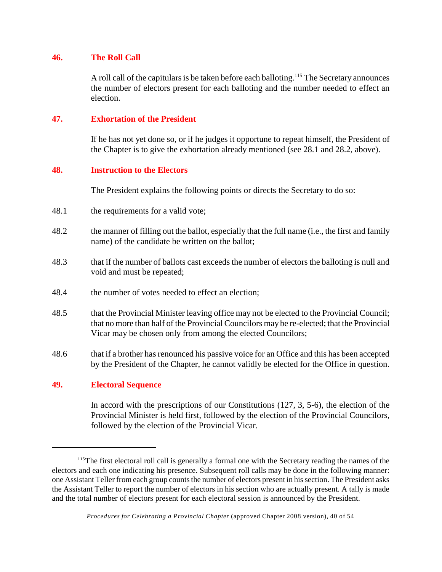#### **46. The Roll Call**

A roll call of the capitulars is be taken before each balloting.<sup>115</sup> The Secretary announces the number of electors present for each balloting and the number needed to effect an election.

## **47. Exhortation of the President**

If he has not yet done so, or if he judges it opportune to repeat himself, the President of the Chapter is to give the exhortation already mentioned (see 28.1 and 28.2, above).

#### **48. Instruction to the Electors**

The President explains the following points or directs the Secretary to do so:

- 48.1 the requirements for a valid vote;
- 48.2 the manner of filling out the ballot, especially that the full name (i.e., the first and family name) of the candidate be written on the ballot;
- 48.3 that if the number of ballots cast exceeds the number of electors the balloting is null and void and must be repeated;
- 48.4 the number of votes needed to effect an election;
- 48.5 that the Provincial Minister leaving office may not be elected to the Provincial Council; that no more than half of the Provincial Councilors may be re-elected; that the Provincial Vicar may be chosen only from among the elected Councilors;
- 48.6 that if a brother has renounced his passive voice for an Office and this has been accepted by the President of the Chapter, he cannot validly be elected for the Office in question.

## **49. Electoral Sequence**

In accord with the prescriptions of our Constitutions (127, 3, 5-6), the election of the Provincial Minister is held first, followed by the election of the Provincial Councilors, followed by the election of the Provincial Vicar.

<sup>&</sup>lt;sup>115</sup>The first electoral roll call is generally a formal one with the Secretary reading the names of the electors and each one indicating his presence. Subsequent roll calls may be done in the following manner: one Assistant Teller from each group counts the number of electors present in his section. The President asks the Assistant Teller to report the number of electors in his section who are actually present. A tally is made and the total number of electors present for each electoral session is announced by the President.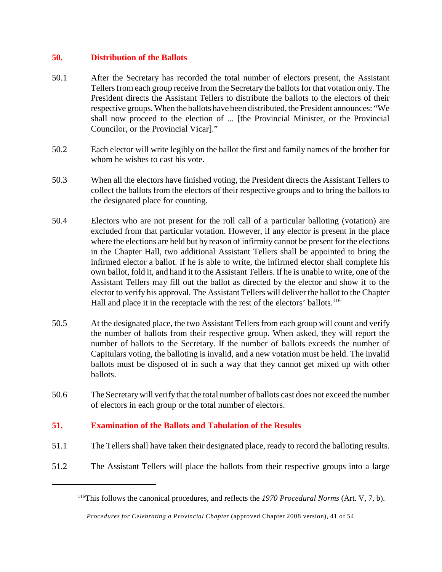## **50. Distribution of the Ballots**

- 50.1 After the Secretary has recorded the total number of electors present, the Assistant Tellers from each group receive from the Secretary the ballots for that votation only. The President directs the Assistant Tellers to distribute the ballots to the electors of their respective groups. When the ballots have been distributed, the President announces: "We shall now proceed to the election of ... [the Provincial Minister, or the Provincial Councilor, or the Provincial Vicar]."
- 50.2 Each elector will write legibly on the ballot the first and family names of the brother for whom he wishes to cast his vote.
- 50.3 When all the electors have finished voting, the President directs the Assistant Tellers to collect the ballots from the electors of their respective groups and to bring the ballots to the designated place for counting.
- 50.4 Electors who are not present for the roll call of a particular balloting (votation) are excluded from that particular votation. However, if any elector is present in the place where the elections are held but by reason of infirmity cannot be present for the elections in the Chapter Hall, two additional Assistant Tellers shall be appointed to bring the infirmed elector a ballot. If he is able to write, the infirmed elector shall complete his own ballot, fold it, and hand it to the Assistant Tellers. If he is unable to write, one of the Assistant Tellers may fill out the ballot as directed by the elector and show it to the elector to verify his approval. The Assistant Tellers will deliver the ballot to the Chapter Hall and place it in the receptacle with the rest of the electors' ballots.<sup>116</sup>
- 50.5 At the designated place, the two Assistant Tellers from each group will count and verify the number of ballots from their respective group. When asked, they will report the number of ballots to the Secretary. If the number of ballots exceeds the number of Capitulars voting, the balloting is invalid, and a new votation must be held. The invalid ballots must be disposed of in such a way that they cannot get mixed up with other ballots.
- 50.6 The Secretarywill verify that the total number of ballots cast does not exceed the number of electors in each group or the total number of electors.

## **51. Examination of the Ballots and Tabulation of the Results**

- 51.1 The Tellers shall have taken their designated place, ready to record the balloting results.
- 51.2 The Assistant Tellers will place the ballots from their respective groups into a large

<sup>&</sup>lt;sup>116</sup>This follows the canonical procedures, and reflects the *1970 Procedural Norms* (Art. V, 7, b).

*Procedures for Celebrating a Provincial Chapter* (approved Chapter 2008 version), 41 of 54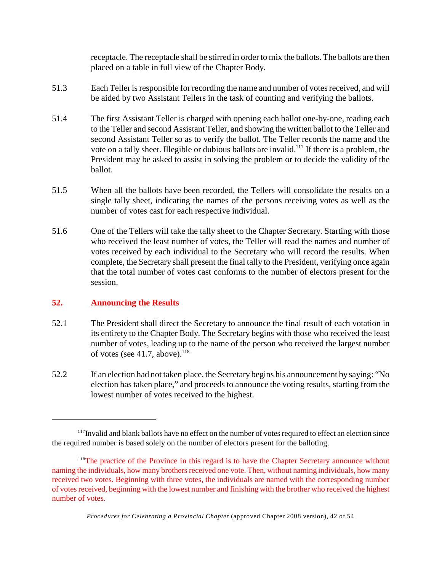receptacle. The receptacle shall be stirred in order to mix the ballots. The ballots are then placed on a table in full view of the Chapter Body.

- 51.3 Each Teller is responsible for recording the name and number of votes received, and will be aided by two Assistant Tellers in the task of counting and verifying the ballots.
- 51.4 The first Assistant Teller is charged with opening each ballot one-by-one, reading each to the Teller and second Assistant Teller, and showing the written ballot to the Teller and second Assistant Teller so as to verify the ballot. The Teller records the name and the vote on a tally sheet. Illegible or dubious ballots are invalid.<sup>117</sup> If there is a problem, the President may be asked to assist in solving the problem or to decide the validity of the ballot.
- 51.5 When all the ballots have been recorded, the Tellers will consolidate the results on a single tally sheet, indicating the names of the persons receiving votes as well as the number of votes cast for each respective individual.
- 51.6 One of the Tellers will take the tally sheet to the Chapter Secretary. Starting with those who received the least number of votes, the Teller will read the names and number of votes received by each individual to the Secretary who will record the results. When complete, the Secretary shall present the final tally to the President, verifying once again that the total number of votes cast conforms to the number of electors present for the session.

## **52. Announcing the Results**

- 52.1 The President shall direct the Secretary to announce the final result of each votation in its entirety to the Chapter Body. The Secretary begins with those who received the least number of votes, leading up to the name of the person who received the largest number of votes (see  $41.7$ , above).<sup>118</sup>
- 52.2 If an election had not taken place, the Secretary begins his announcement by saying: "No election has taken place," and proceeds to announce the voting results, starting from the lowest number of votes received to the highest.

 $117$  Invalid and blank ballots have no effect on the number of votes required to effect an election since the required number is based solely on the number of electors present for the balloting.

<sup>&</sup>lt;sup>118</sup>The practice of the Province in this regard is to have the Chapter Secretary announce without naming the individuals, how many brothers received one vote. Then, without naming individuals, how many received two votes. Beginning with three votes, the individuals are named with the corresponding number of votes received, beginning with the lowest number and finishing with the brother who received the highest number of votes.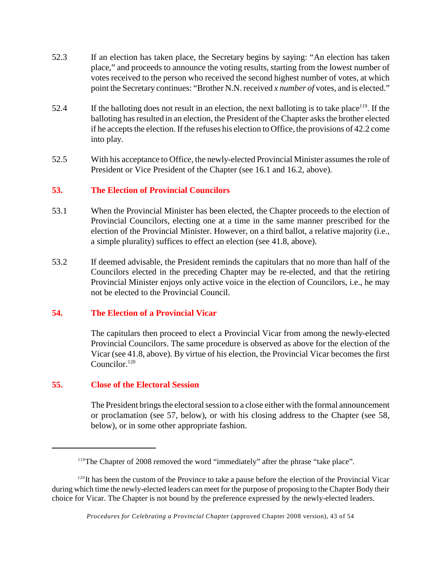- 52.3 If an election has taken place, the Secretary begins by saying: "An election has taken place," and proceeds to announce the voting results, starting from the lowest number of votes received to the person who received the second highest number of votes, at which point the Secretary continues: "Brother N.N. received *x number of* votes, and is elected."
- 52.4 If the balloting does not result in an election, the next balloting is to take place <sup>119</sup>. If the balloting has resulted in an election, the President of the Chapter asks the brother elected if he accepts the election. If the refuses his election to Office, the provisions of 42.2 come into play.
- 52.5 With his acceptance to Office, the newly-elected Provincial Minister assumes the role of President or Vice President of the Chapter (see 16.1 and 16.2, above).

## **53. The Election of Provincial Councilors**

- 53.1 When the Provincial Minister has been elected, the Chapter proceeds to the election of Provincial Councilors, electing one at a time in the same manner prescribed for the election of the Provincial Minister. However, on a third ballot, a relative majority (i.e., a simple plurality) suffices to effect an election (see 41.8, above).
- 53.2 If deemed advisable, the President reminds the capitulars that no more than half of the Councilors elected in the preceding Chapter may be re-elected, and that the retiring Provincial Minister enjoys only active voice in the election of Councilors, i.e., he may not be elected to the Provincial Council.

#### **54. The Election of a Provincial Vicar**

The capitulars then proceed to elect a Provincial Vicar from among the newly-elected Provincial Councilors. The same procedure is observed as above for the election of the Vicar (see 41.8, above). By virtue of his election, the Provincial Vicar becomes the first Councilor.<sup>120</sup>

## **55. Close of the Electoral Session**

The President brings the electoral session to a close either with the formal announcement or proclamation (see 57, below), or with his closing address to the Chapter (see 58, below), or in some other appropriate fashion.

 $119$ The Chapter of 2008 removed the word "immediately" after the phrase "take place".

 $120$ It has been the custom of the Province to take a pause before the election of the Provincial Vicar during which time the newly-elected leaders can meet for the purpose of proposing to the Chapter Body their choice for Vicar. The Chapter is not bound by the preference expressed by the newly-elected leaders.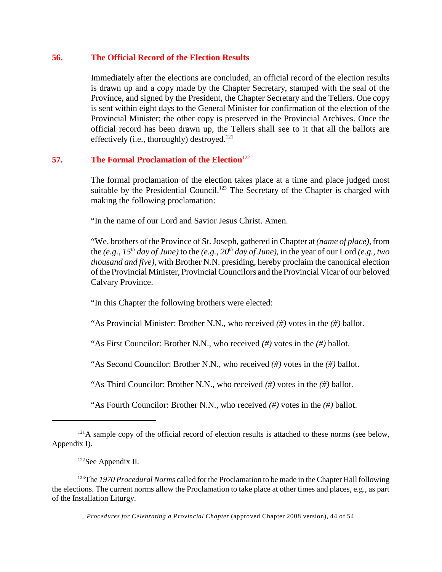### **56. The Official Record of the Election Results**

Immediately after the elections are concluded, an official record of the election results is drawn up and a copy made by the Chapter Secretary, stamped with the seal of the Province, and signed by the President, the Chapter Secretary and the Tellers. One copy is sent within eight days to the General Minister for confirmation of the election of the Provincial Minister; the other copy is preserved in the Provincial Archives. Once the official record has been drawn up, the Tellers shall see to it that all the ballots are effectively (i.e., thoroughly) destroyed. $121$ 

## **57. The Formal Proclamation of the Election**<sup>122</sup>

The formal proclamation of the election takes place at a time and place judged most suitable by the Presidential Council.<sup>123</sup> The Secretary of the Chapter is charged with making the following proclamation:

"In the name of our Lord and Savior Jesus Christ. Amen.

"We, brothers of the Province of St. Joseph, gathered in Chapter at *(name of place)*, from the *(e.g., 15<sup>th</sup> day of June)* to the *(e.g., 20<sup>th</sup> day of June)*, in the year of our Lord *(e.g., two thousand and five)*, with Brother N.N. presiding, hereby proclaim the canonical election of the Provincial Minister, Provincial Councilors and the Provincial Vicar of our beloved Calvary Province.

"In this Chapter the following brothers were elected:

"As Provincial Minister: Brother N.N., who received *(#)* votes in the *(#)* ballot.

"As First Councilor: Brother N.N., who received *(#)* votes in the *(#)* ballot.

"As Second Councilor: Brother N.N., who received *(#)* votes in the *(#)* ballot.

"As Third Councilor: Brother N.N., who received *(#)* votes in the *(#)* ballot.

"As Fourth Councilor: Brother N.N., who received *(#)* votes in the *(#)* ballot.

*Procedures for Celebrating a Provincial Chapter* (approved Chapter 2008 version), 44 of 54

 $^{121}$ A sample copy of the official record of election results is attached to these norms (see below, Appendix I).

 $122$ See Appendix II.

<sup>&</sup>lt;sup>123</sup>The *1970 Procedural Norms* called for the Proclamation to be made in the Chapter Hall following the elections. The current norms allow the Proclamation to take place at other times and places, e.g., as part of the Installation Liturgy.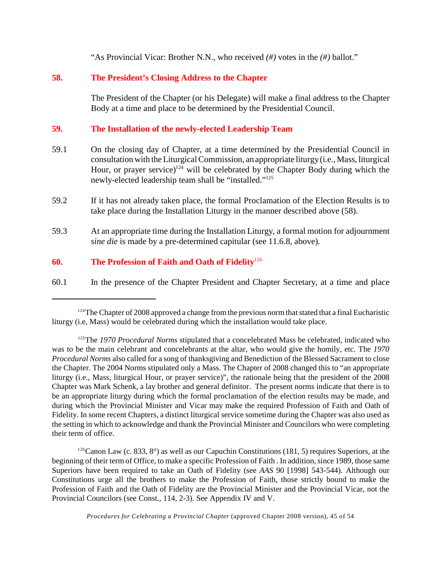"As Provincial Vicar: Brother N.N., who received *(#)* votes in the *(#)* ballot."

## **58. The President's Closing Address to the Chapter**

The President of the Chapter (or his Delegate) will make a final address to the Chapter Body at a time and place to be determined by the Presidential Council.

## **59. The Installation of the newly-elected Leadership Team**

- 59.1 On the closing day of Chapter, at a time determined by the Presidential Council in consultation with the Liturgical Commission, an appropriate liturgy(i.e., Mass, liturgical Hour, or prayer service)<sup> $124$ </sup> will be celebrated by the Chapter Body during which the newly-elected leadership team shall be "installed."<sup>125</sup>
- 59.2 If it has not already taken place, the formal Proclamation of the Election Results is to take place during the Installation Liturgy in the manner described above (58).
- 59.3 At an appropriate time during the Installation Liturgy, a formal motion for adjournment *sine die* is made by a pre-determined capitular (see 11.6.8, above).

## **60. The Profession of Faith and Oath of Fidelity**<sup>126</sup>

60.1 In the presence of the Chapter President and Chapter Secretary, at a time and place

<sup>126</sup> Canon Law (c. 833, 8°) as well as our Capuchin Constitutions (181, 5) requires Superiors, at the beginning of their term of Office, to make a specific Profession of Faith . In addition, since 1989, those same Superiors have been required to take an Oath of Fidelity (see *AAS* 90 [1998] 543-544). Although our Constitutions urge all the brothers to make the Profession of Faith, those strictly bound to make the Profession of Faith and the Oath of Fidelity are the Provincial Minister and the Provincial Vicar, not the Provincial Councilors (see Const., 114, 2-3). See Appendix IV and V.

*Procedures for Celebrating a Provincial Chapter* (approved Chapter 2008 version), 45 of 54

 $124$ The Chapter of 2008 approved a change from the previous norm that stated that a final Eucharistic liturgy (i.e, Mass) would be celebrated during which the installation would take place.

<sup>&</sup>lt;sup>125</sup>The *1970 Procedural Norms* stipulated that a concelebrated Mass be celebrated, indicated who was to be the main celebrant and concelebrants at the altar, who would give the homily, etc. The *1970 Procedural Norms* also called for a song of thanksgiving and Benediction of the Blessed Sacrament to close the Chapter. The 2004 Norms stipulated only a Mass. The Chapter of 2008 changed this to "an appropriate liturgy (i.e., Mass, liturgical Hour, or prayer service)", the rationale being that the president of the 2008 Chapter was Mark Schenk, a lay brother and general definitor. The present norms indicate that there is to be an appropriate liturgy during which the formal proclamation of the election results may be made, and during which the Provincial Minister and Vicar may make the required Profession of Faith and Oath of Fidelity. In some recent Chapters, a distinct liturgical service sometime during the Chapter was also used as the setting in which to acknowledge and thank the Provincial Minister and Councilors who were completing their term of office.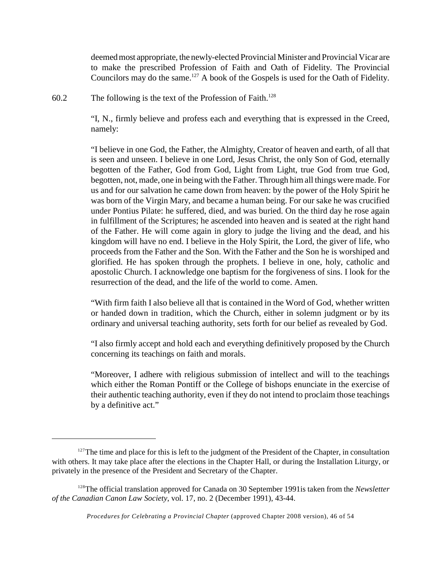deemed most appropriate, the newly-elected Provincial Minister and Provincial Vicar are to make the prescribed Profession of Faith and Oath of Fidelity. The Provincial Councilors may do the same.<sup>127</sup> A book of the Gospels is used for the Oath of Fidelity.

 $60.2$  The following is the text of the Profession of Faith.<sup>128</sup>

"I, N., firmly believe and profess each and everything that is expressed in the Creed, namely:

"I believe in one God, the Father, the Almighty, Creator of heaven and earth, of all that is seen and unseen. I believe in one Lord, Jesus Christ, the only Son of God, eternally begotten of the Father, God from God, Light from Light, true God from true God, begotten, not, made, one in being with the Father. Through him all things were made. For us and for our salvation he came down from heaven: by the power of the Holy Spirit he was born of the Virgin Mary, and became a human being. For our sake he was crucified under Pontius Pilate: he suffered, died, and was buried. On the third day he rose again in fulfillment of the Scriptures; he ascended into heaven and is seated at the right hand of the Father. He will come again in glory to judge the living and the dead, and his kingdom will have no end. I believe in the Holy Spirit, the Lord, the giver of life, who proceeds from the Father and the Son. With the Father and the Son he is worshiped and glorified. He has spoken through the prophets. I believe in one, holy, catholic and apostolic Church. I acknowledge one baptism for the forgiveness of sins. I look for the resurrection of the dead, and the life of the world to come. Amen.

"With firm faith I also believe all that is contained in the Word of God, whether written or handed down in tradition, which the Church, either in solemn judgment or by its ordinary and universal teaching authority, sets forth for our belief as revealed by God.

"I also firmly accept and hold each and everything definitively proposed by the Church concerning its teachings on faith and morals.

"Moreover, I adhere with religious submission of intellect and will to the teachings which either the Roman Pontiff or the College of bishops enunciate in the exercise of their authentic teaching authority, even if they do not intend to proclaim those teachings by a definitive act."

 $127$ The time and place for this is left to the judgment of the President of the Chapter, in consultation with others. It may take place after the elections in the Chapter Hall, or during the Installation Liturgy, or privately in the presence of the President and Secretary of the Chapter.

<sup>&</sup>lt;sup>128</sup>The official translation approved for Canada on 30 September 1991 is taken from the *Newsletter of the Canadian Canon Law Society*, vol. 17, no. 2 (December 1991), 43-44.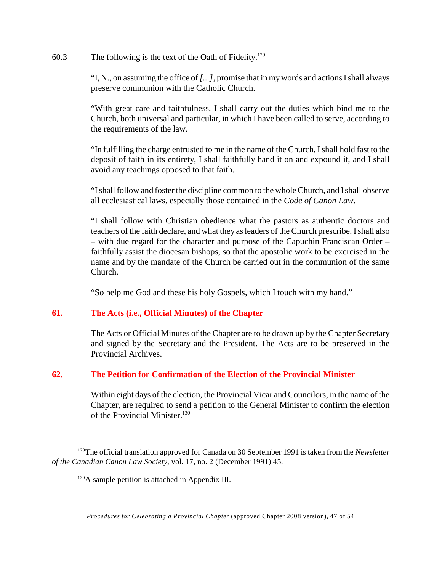60.3 The following is the text of the Oath of Fidelity.<sup>129</sup>

"I, N., on assuming the office of *[...]*, promise that in mywords and actions Ishall always preserve communion with the Catholic Church.

"With great care and faithfulness, I shall carry out the duties which bind me to the Church, both universal and particular, in which I have been called to serve, according to the requirements of the law.

"In fulfilling the charge entrusted to me in the name of the Church, Ishall hold fast to the deposit of faith in its entirety, I shall faithfully hand it on and expound it, and I shall avoid any teachings opposed to that faith.

"Ishall follow and foster the discipline common to the whole Church, and Ishall observe all ecclesiastical laws, especially those contained in the *Code of Canon Law*.

"I shall follow with Christian obedience what the pastors as authentic doctors and teachers of the faith declare, and what they as leaders of the Church prescribe. Ishall also – with due regard for the character and purpose of the Capuchin Franciscan Order – faithfully assist the diocesan bishops, so that the apostolic work to be exercised in the name and by the mandate of the Church be carried out in the communion of the same Church.

"So help me God and these his holy Gospels, which I touch with my hand."

## **61. The Acts (i.e., Official Minutes) of the Chapter**

The Acts or Official Minutes of the Chapter are to be drawn up by the Chapter Secretary and signed by the Secretary and the President. The Acts are to be preserved in the Provincial Archives.

# **62. The Petition for Confirmation of the Election of the Provincial Minister**

Within eight days of the election, the Provincial Vicar and Councilors, in the name of the Chapter, are required to send a petition to the General Minister to confirm the election of the Provincial Minister.<sup>130</sup>

<sup>&</sup>lt;sup>129</sup>The official translation approved for Canada on 30 September 1991 is taken from the *Newsletter of the Canadian Canon Law Society*, vol. 17, no. 2 (December 1991) 45.

 $130$ A sample petition is attached in Appendix III.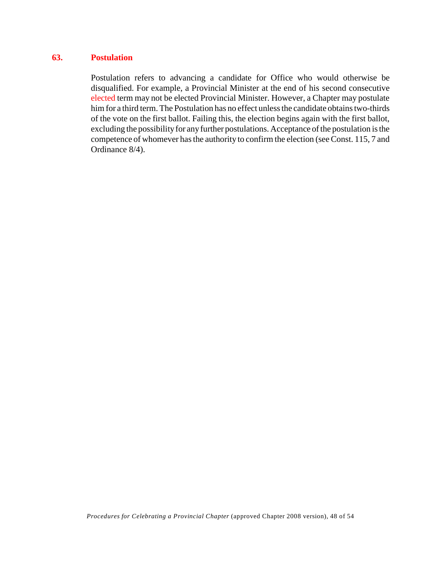#### **63. Postulation**

Postulation refers to advancing a candidate for Office who would otherwise be disqualified. For example, a Provincial Minister at the end of his second consecutive elected term may not be elected Provincial Minister. However, a Chapter may postulate him for a third term. The Postulation has no effect unless the candidate obtains two-thirds of the vote on the first ballot. Failing this, the election begins again with the first ballot, excluding the possibility for any further postulations. Acceptance of the postulation is the competence of whomever has the authority to confirm the election (seeConst. 115, 7 and Ordinance 8/4).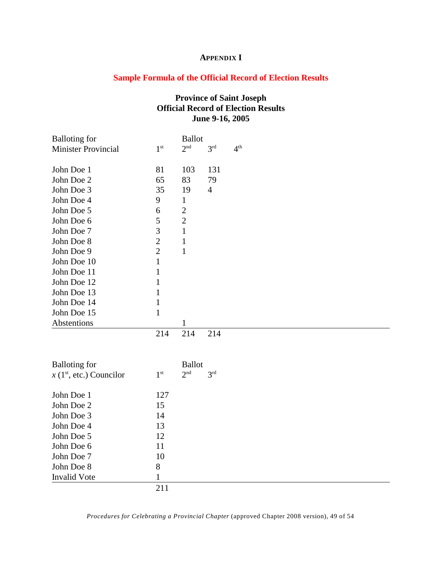#### **APPENDIX I**

# **Sample Formula of the Official Record of Election Results**

## **Province of Saint Joseph Official Record of Election Results June 9-16, 2005**

| <b>Balloting</b> for        |                 | <b>Ballot</b>   |                 |                 |
|-----------------------------|-----------------|-----------------|-----------------|-----------------|
| Minister Provincial         | 1 <sup>st</sup> | 2 <sup>nd</sup> | 3 <sup>rd</sup> | 4 <sup>th</sup> |
|                             |                 |                 |                 |                 |
| John Doe 1                  | 81              | 103             | 131             |                 |
| John Doe 2                  | 65              | 83              | 79              |                 |
| John Doe 3                  | 35              | 19              | $\overline{4}$  |                 |
| John Doe 4                  | $\mathbf{9}$    | $\mathbf{1}$    |                 |                 |
| John Doe 5                  | 6               | $\mathfrak{2}$  |                 |                 |
| John Doe 6                  | $\mathfrak s$   | $\mathbf{2}$    |                 |                 |
| John Doe 7                  | $\mathfrak{Z}$  | $\mathbf{1}$    |                 |                 |
| John Doe 8                  | $\overline{2}$  | $\mathbf{1}$    |                 |                 |
| John Doe 9                  | $\mathbf{2}$    | $\mathbf{1}$    |                 |                 |
| John Doe 10                 | $\mathbf{1}$    |                 |                 |                 |
| John Doe 11                 | $\mathbf{1}$    |                 |                 |                 |
| John Doe 12                 | $\mathbf 1$     |                 |                 |                 |
| John Doe 13                 | 1               |                 |                 |                 |
| John Doe 14                 | 1               |                 |                 |                 |
| John Doe 15                 | $\mathbf{1}$    |                 |                 |                 |
| Abstentions                 |                 | 1               |                 |                 |
|                             | 214             | 214             | 214             |                 |
|                             |                 |                 |                 |                 |
|                             |                 |                 |                 |                 |
| <b>Balloting for</b>        |                 | <b>Ballot</b>   |                 |                 |
| $x(1^{st}, etc.)$ Councilor | $1^{\rm st}$    | 2 <sup>nd</sup> | 3 <sup>rd</sup> |                 |
| John Doe 1                  | 127             |                 |                 |                 |
| John Doe 2                  | 15              |                 |                 |                 |
| John Doe 3                  | 14              |                 |                 |                 |
| John Doe 4                  | 13              |                 |                 |                 |
| John Doe 5                  | 12              |                 |                 |                 |
| John Doe 6                  | 11              |                 |                 |                 |
| John Doe 7                  | 10              |                 |                 |                 |
| John Doe 8                  | 8               |                 |                 |                 |
| <b>Invalid Vote</b>         | 1               |                 |                 |                 |
|                             | 211             |                 |                 |                 |

*Procedures for Celebrating a Provincial Chapter* (approved Chapter 2008 version), 49 of 54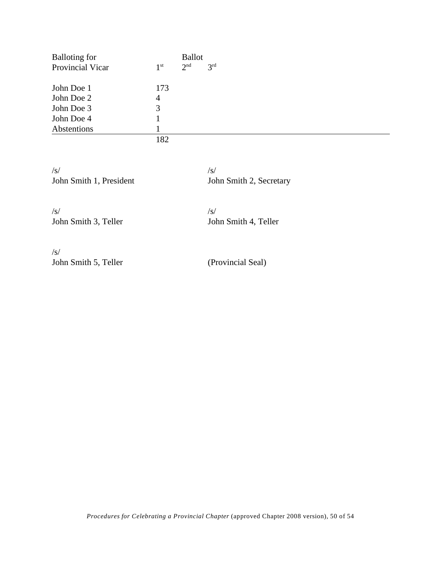| <b>Balloting for</b><br><b>Provincial Vicar</b>      | 1 <sup>st</sup>    | <b>Ballot</b><br>2 <sup>nd</sup> | 3 <sup>rd</sup> |
|------------------------------------------------------|--------------------|----------------------------------|-----------------|
| John Doe 1<br>John Doe 2<br>John Doe 3<br>John Doe 4 | 173<br>4<br>3<br>1 |                                  |                 |
| Abstentions                                          | 182                |                                  |                 |

 $\sqrt{s}/\sqrt{s}$ 

John Smith 1, President John Smith 2, Secretary

 $\sqrt{s}/\sqrt{s}$ 

John Smith 3, Teller John Smith 4, Teller

/s/ John Smith 5, Teller (Provincial Seal)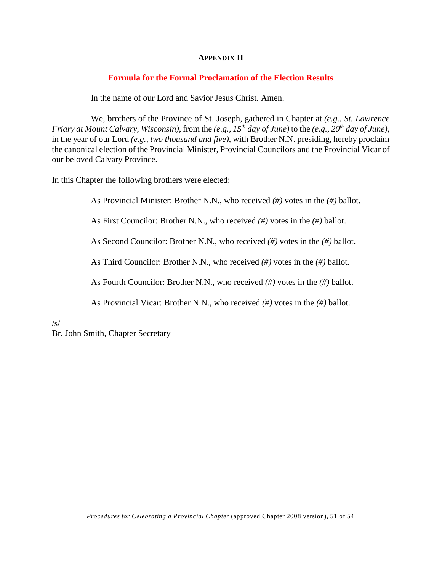## **APPENDIX II**

## **Formula for the Formal Proclamation of the Election Results**

In the name of our Lord and Savior Jesus Christ. Amen.

We, brothers of the Province of St. Joseph, gathered in Chapter at *(e.g., St. Lawrence Friary at Mount Calvary, Wisconsin), from the (e.g., 15<sup>th</sup> day of June)* to the (e.g., 20<sup>th</sup> day of June), in the year of our Lord *(e.g., two thousand and five)*, with Brother N.N. presiding, hereby proclaim the canonical election of the Provincial Minister, Provincial Councilors and the Provincial Vicar of our beloved Calvary Province.

In this Chapter the following brothers were elected:

As Provincial Minister: Brother N.N., who received *(#)* votes in the *(#)* ballot.

As First Councilor: Brother N.N., who received *(#)* votes in the *(#)* ballot.

As Second Councilor: Brother N.N., who received *(#)* votes in the *(#)* ballot.

As Third Councilor: Brother N.N., who received *(#)* votes in the *(#)* ballot.

As Fourth Councilor: Brother N.N., who received *(#)* votes in the *(#)* ballot.

As Provincial Vicar: Brother N.N., who received *(#)* votes in the *(#)* ballot.

/s/

Br. John Smith, Chapter Secretary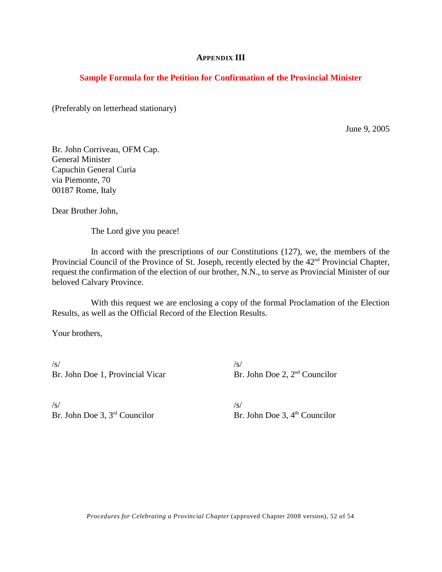#### **APPENDIX III**

## **Sample Formula for the Petition for Confirmation of the Provincial Minister**

(Preferably on letterhead stationary)

June 9, 2005

Br. John Corriveau, OFM Cap. General Minister Capuchin General Curia via Piemonte, 70 00187 Rome, Italy

Dear Brother John,

The Lord give you peace!

In accord with the prescriptions of our Constitutions (127), we, the members of the Provincial Council of the Province of St. Joseph, recently elected by the  $42<sup>nd</sup>$  Provincial Chapter, request the confirmation of the election of our brother, N.N., to serve as Provincial Minister of our beloved Calvary Province.

With this request we are enclosing a copy of the formal Proclamation of the Election Results, as well as the Official Record of the Election Results.

Your brothers,

 $\sqrt{s}$ / $\sqrt{s}$ / $\sqrt{s}$ / $\sqrt{s}$ / $\sqrt{s}$ / $\sqrt{s}$ / $\sqrt{s}$ / $\sqrt{s}$ / $\sqrt{s}$ / $\sqrt{s}$ / $\sqrt{s}$ / $\sqrt{s}$ / $\sqrt{s}$ / $\sqrt{s}$ / $\sqrt{s}$ / $\sqrt{s}$ / $\sqrt{s}$ / $\sqrt{s}$ / $\sqrt{s}$ / $\sqrt{s}$ / $\sqrt{s}$ / $\sqrt{s}$ / $\sqrt{s}$ / $\sqrt{s}$ / $\sqrt{s}$ / $\sqrt{s}$ / $\sqrt{s}$ / $\sqrt{s}$ / $\sqrt{s}$ / $\sqrt{s}$ / $\sqrt{s}$ / $\sqrt{s$ Br. John Doe 1, Provincial Vicar Br. John Doe 2,  $2<sup>nd</sup>$  Councilor

 $\sqrt{s}$ / $\sqrt{s}$ / $\sqrt{s}$ / $\sqrt{s}$ / $\sqrt{s}$ / $\sqrt{s}$ / $\sqrt{s}$ / $\sqrt{s}$ / $\sqrt{s}$ / $\sqrt{s}$ / $\sqrt{s}$ / $\sqrt{s}$ / $\sqrt{s}$ / $\sqrt{s}$ / $\sqrt{s}$ / $\sqrt{s}$ / $\sqrt{s}$ / $\sqrt{s}$ / $\sqrt{s}$ / $\sqrt{s}$ / $\sqrt{s}$ / $\sqrt{s}$ / $\sqrt{s}$ / $\sqrt{s}$ / $\sqrt{s}$ / $\sqrt{s}$ / $\sqrt{s}$ / $\sqrt{s}$ / $\sqrt{s}$ / $\sqrt{s}$ / $\sqrt{s}$ / $\sqrt{s$ Br. John Doe 3,  $3<sup>rd</sup>$  Councilor Br. John Doe 3,  $4<sup>th</sup>$  Councilor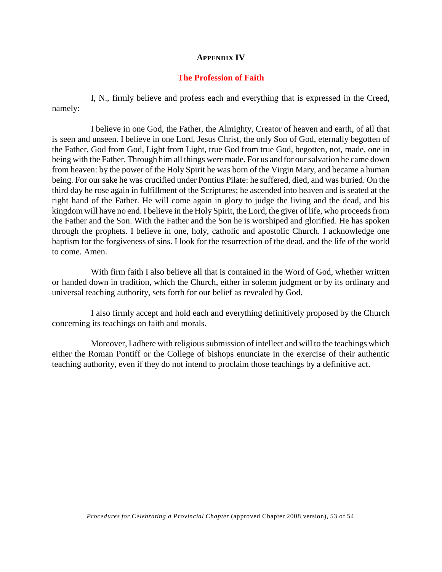#### **APPENDIX IV**

#### **The Profession of Faith**

I, N., firmly believe and profess each and everything that is expressed in the Creed, namely:

I believe in one God, the Father, the Almighty, Creator of heaven and earth, of all that is seen and unseen. I believe in one Lord, Jesus Christ, the only Son of God, eternally begotten of the Father, God from God, Light from Light, true God from true God, begotten, not, made, one in being with the Father. Through him all things were made. For us and for our salvation he came down from heaven: by the power of the Holy Spirit he was born of the Virgin Mary, and became a human being. For our sake he was crucified under Pontius Pilate: he suffered, died, and was buried. On the third day he rose again in fulfillment of the Scriptures; he ascended into heaven and is seated at the right hand of the Father. He will come again in glory to judge the living and the dead, and his kingdom will have no end. I believe in the Holy Spirit, the Lord, the giver of life, who proceeds from the Father and the Son. With the Father and the Son he is worshiped and glorified. He has spoken through the prophets. I believe in one, holy, catholic and apostolic Church. I acknowledge one baptism for the forgiveness of sins. I look for the resurrection of the dead, and the life of the world to come. Amen.

With firm faith I also believe all that is contained in the Word of God, whether written or handed down in tradition, which the Church, either in solemn judgment or by its ordinary and universal teaching authority, sets forth for our belief as revealed by God.

I also firmly accept and hold each and everything definitively proposed by the Church concerning its teachings on faith and morals.

Moreover, I adhere with religious submission of intellect and will to the teachings which either the Roman Pontiff or the College of bishops enunciate in the exercise of their authentic teaching authority, even if they do not intend to proclaim those teachings by a definitive act.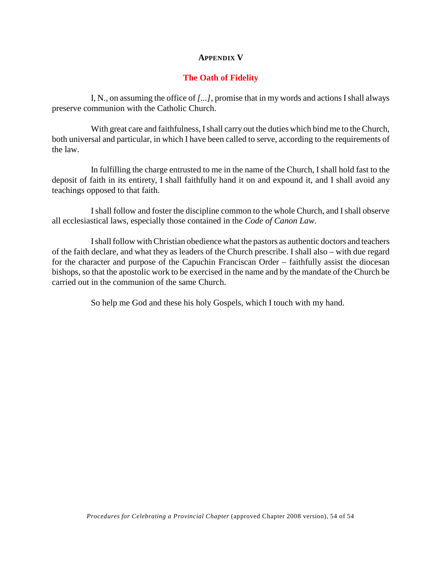## **APPENDIX V**

## **The Oath of Fidelity**

I, N., on assuming the office of *[...]*, promise that in my words and actions Ishall always preserve communion with the Catholic Church.

With great care and faithfulness, Ishall carry out the duties which bind me to the Church, both universal and particular, in which I have been called to serve, according to the requirements of the law.

In fulfilling the charge entrusted to me in the name of the Church, Ishall hold fast to the deposit of faith in its entirety, I shall faithfully hand it on and expound it, and I shall avoid any teachings opposed to that faith.

Ishall follow and foster the discipline common to the whole Church, and Ishall observe all ecclesiastical laws, especially those contained in the *Code of Canon Law*.

Ishall follow with Christian obedience what the pastors as authentic doctors and teachers of the faith declare, and what they as leaders of the Church prescribe. I shall also – with due regard for the character and purpose of the Capuchin Franciscan Order – faithfully assist the diocesan bishops, so that the apostolic work to be exercised in the name and by the mandate of the Church be carried out in the communion of the same Church.

So help me God and these his holy Gospels, which I touch with my hand.